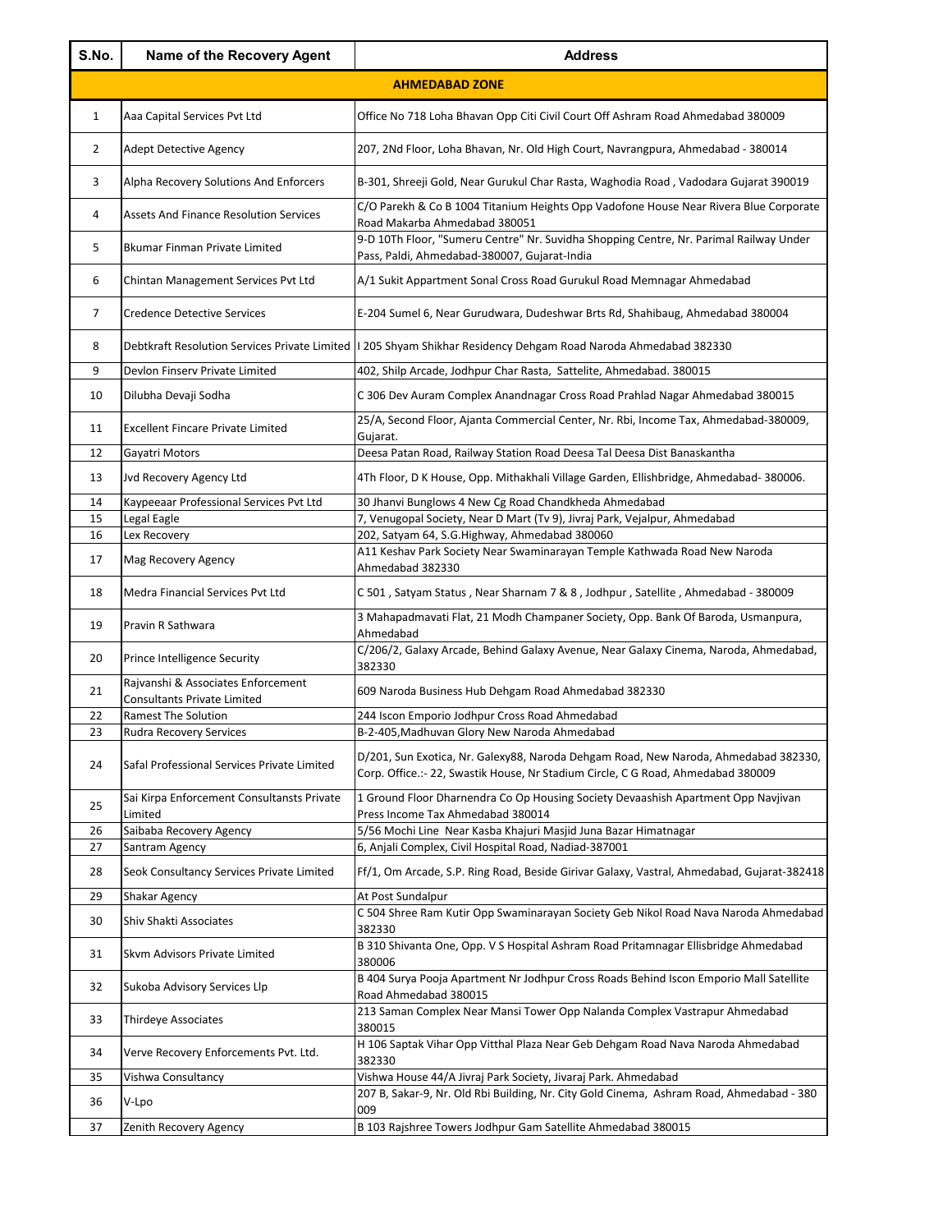| S.No.          | Name of the Recovery Agent                                             | <b>Address</b>                                                                                                                                                                                                          |
|----------------|------------------------------------------------------------------------|-------------------------------------------------------------------------------------------------------------------------------------------------------------------------------------------------------------------------|
|                |                                                                        | <b>AHMEDABAD ZONE</b>                                                                                                                                                                                                   |
| $\mathbf{1}$   | Aaa Capital Services Pvt Ltd                                           | Office No 718 Loha Bhavan Opp Citi Civil Court Off Ashram Road Ahmedabad 380009                                                                                                                                         |
| 2              | <b>Adept Detective Agency</b>                                          | 207, 2Nd Floor, Loha Bhavan, Nr. Old High Court, Navrangpura, Ahmedabad - 380014                                                                                                                                        |
| 3              | Alpha Recovery Solutions And Enforcers                                 | B-301, Shreeji Gold, Near Gurukul Char Rasta, Waghodia Road, Vadodara Gujarat 390019                                                                                                                                    |
| 4              | <b>Assets And Finance Resolution Services</b>                          | C/O Parekh & Co B 1004 Titanium Heights Opp Vadofone House Near Rivera Blue Corporate<br>Road Makarba Ahmedabad 380051                                                                                                  |
| 5              | Bkumar Finman Private Limited                                          | 9-D 10Th Floor, "Sumeru Centre" Nr. Suvidha Shopping Centre, Nr. Parimal Railway Under<br>Pass, Paldi, Ahmedabad-380007, Gujarat-India                                                                                  |
| 6              | Chintan Management Services Pvt Ltd                                    | A/1 Sukit Appartment Sonal Cross Road Gurukul Road Memnagar Ahmedabad                                                                                                                                                   |
| $\overline{7}$ | <b>Credence Detective Services</b>                                     | E-204 Sumel 6, Near Gurudwara, Dudeshwar Brts Rd, Shahibaug, Ahmedabad 380004                                                                                                                                           |
| 8              |                                                                        | Debtkraft Resolution Services Private Limited  I 205 Shyam Shikhar Residency Dehgam Road Naroda Ahmedabad 382330                                                                                                        |
| 9              | Devlon Finserv Private Limited                                         | 402, Shilp Arcade, Jodhpur Char Rasta, Sattelite, Ahmedabad. 380015                                                                                                                                                     |
| 10             | Dilubha Devaji Sodha                                                   | C 306 Dev Auram Complex Anandnagar Cross Road Prahlad Nagar Ahmedabad 380015                                                                                                                                            |
| 11             | <b>Excellent Fincare Private Limited</b>                               | 25/A, Second Floor, Ajanta Commercial Center, Nr. Rbi, Income Tax, Ahmedabad-380009,<br>Gujarat.                                                                                                                        |
| 12             | Gayatri Motors                                                         | Deesa Patan Road, Railway Station Road Deesa Tal Deesa Dist Banaskantha                                                                                                                                                 |
| 13             | Jvd Recovery Agency Ltd                                                | 4Th Floor, D K House, Opp. Mithakhali Village Garden, Ellishbridge, Ahmedabad- 380006.                                                                                                                                  |
| 14             | Kaypeeaar Professional Services Pvt Ltd                                | 30 Jhanvi Bunglows 4 New Cg Road Chandkheda Ahmedabad                                                                                                                                                                   |
| 15             | Legal Eagle                                                            | 7, Venugopal Society, Near D Mart (Tv 9), Jivraj Park, Vejalpur, Ahmedabad                                                                                                                                              |
| 16             | Lex Recovery                                                           | 202, Satyam 64, S.G.Highway, Ahmedabad 380060                                                                                                                                                                           |
| 17             | Mag Recovery Agency                                                    | A11 Keshav Park Society Near Swaminarayan Temple Kathwada Road New Naroda<br>Ahmedabad 382330                                                                                                                           |
| 18             | Medra Financial Services Pvt Ltd                                       | C 501, Satyam Status, Near Sharnam 7 & 8, Jodhpur, Satellite, Ahmedabad - 380009                                                                                                                                        |
| 19             | Pravin R Sathwara                                                      | 3 Mahapadmavati Flat, 21 Modh Champaner Society, Opp. Bank Of Baroda, Usmanpura,<br>Ahmedabad                                                                                                                           |
| 20             | Prince Intelligence Security                                           | C/206/2, Galaxy Arcade, Behind Galaxy Avenue, Near Galaxy Cinema, Naroda, Ahmedabad,<br>382330                                                                                                                          |
| 21             | Rajvanshi & Associates Enforcement                                     | 609 Naroda Business Hub Dehgam Road Ahmedabad 382330                                                                                                                                                                    |
|                | <b>Consultants Private Limited</b>                                     |                                                                                                                                                                                                                         |
| 22             | <b>Ramest The Solution</b>                                             | 244 Iscon Emporio Jodhpur Cross Road Ahmedabad                                                                                                                                                                          |
| 23<br>24       | Rudra Recovery Services<br>Safal Professional Services Private Limited | B-2-405, Madhuvan Glory New Naroda Ahmedabad<br>D/201, Sun Exotica, Nr. Galexy88, Naroda Dehgam Road, New Naroda, Ahmedabad 382330,<br>Corp. Office.:- 22, Swastik House, Nr Stadium Circle, C G Road, Ahmedabad 380009 |
| 25             | Sai Kirpa Enforcement Consultansts Private                             | 1 Ground Floor Dharnendra Co Op Housing Society Devaashish Apartment Opp Navjivan                                                                                                                                       |
|                | Limited                                                                | Press Income Tax Ahmedabad 380014                                                                                                                                                                                       |
| 26             | Saibaba Recovery Agency                                                | 5/56 Mochi Line Near Kasba Khajuri Masjid Juna Bazar Himatnagar                                                                                                                                                         |
| 27             | Santram Agency                                                         | 6, Anjali Complex, Civil Hospital Road, Nadiad-387001                                                                                                                                                                   |
| 28             | Seok Consultancy Services Private Limited                              | Ff/1, Om Arcade, S.P. Ring Road, Beside Girivar Galaxy, Vastral, Ahmedabad, Gujarat-382418                                                                                                                              |
| 29             | Shakar Agency                                                          | At Post Sundalpur                                                                                                                                                                                                       |
| 30             | Shiv Shakti Associates                                                 | C 504 Shree Ram Kutir Opp Swaminarayan Society Geb Nikol Road Nava Naroda Ahmedabad<br>382330                                                                                                                           |
| 31             | Skvm Advisors Private Limited                                          | B 310 Shivanta One, Opp. V S Hospital Ashram Road Pritamnagar Ellisbridge Ahmedabad<br>380006                                                                                                                           |
| 32             | Sukoba Advisory Services Llp                                           | B 404 Surya Pooja Apartment Nr Jodhpur Cross Roads Behind Iscon Emporio Mall Satellite<br>Road Ahmedabad 380015                                                                                                         |
| 33             | Thirdeye Associates                                                    | 213 Saman Complex Near Mansi Tower Opp Nalanda Complex Vastrapur Ahmedabad<br>380015                                                                                                                                    |
| 34             | Verve Recovery Enforcements Pvt. Ltd.                                  | H 106 Saptak Vihar Opp Vitthal Plaza Near Geb Dehgam Road Nava Naroda Ahmedabad<br>382330                                                                                                                               |
| 35             | Vishwa Consultancy                                                     | Vishwa House 44/A Jivraj Park Society, Jivaraj Park. Ahmedabad                                                                                                                                                          |
| 36             | V-Lpo                                                                  | 207 B, Sakar-9, Nr. Old Rbi Building, Nr. City Gold Cinema, Ashram Road, Ahmedabad - 380<br>009                                                                                                                         |
| 37             | Zenith Recovery Agency                                                 | B 103 Rajshree Towers Jodhpur Gam Satellite Ahmedabad 380015                                                                                                                                                            |
|                |                                                                        |                                                                                                                                                                                                                         |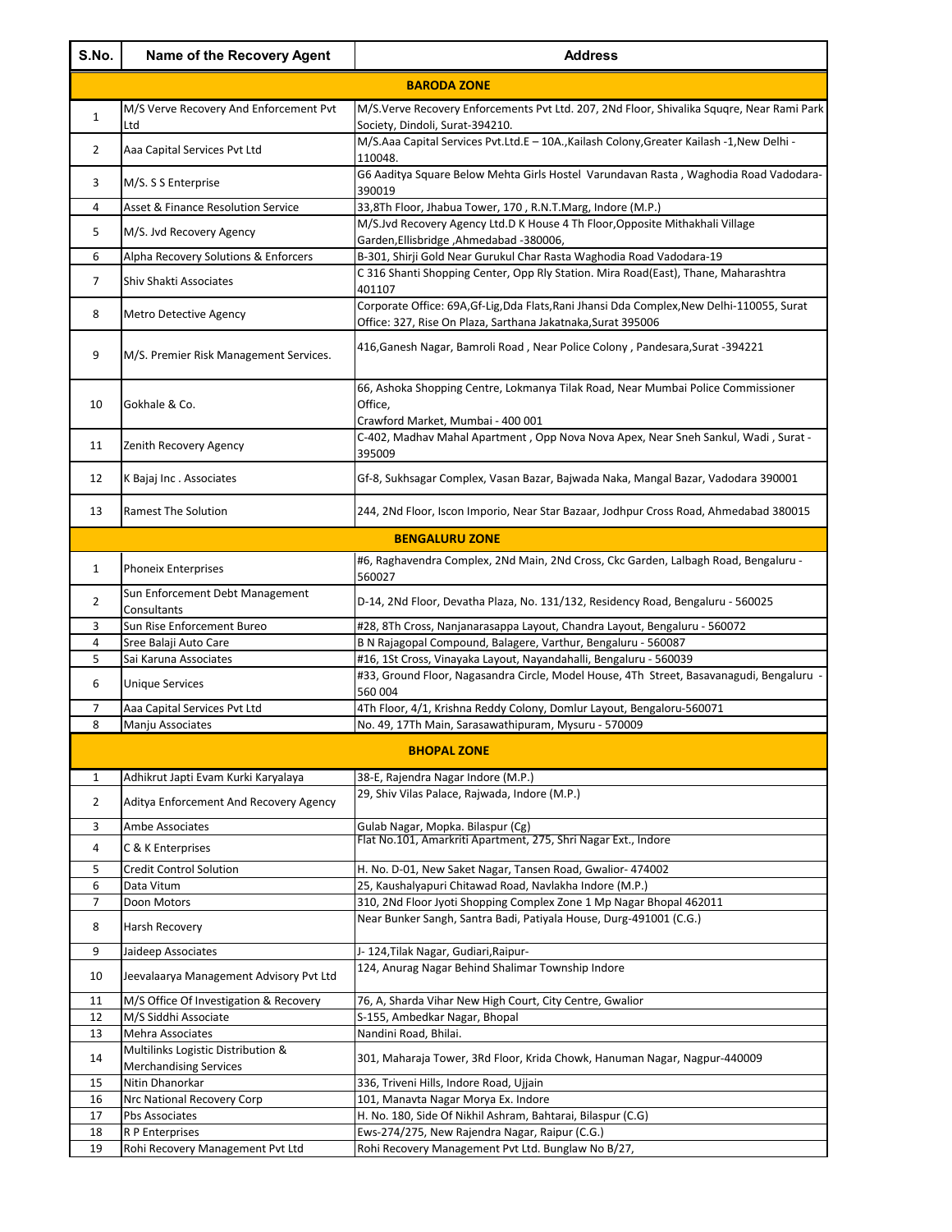| S.No.          | Name of the Recovery Agent                                          | <b>Address</b>                                                                                                                                             |
|----------------|---------------------------------------------------------------------|------------------------------------------------------------------------------------------------------------------------------------------------------------|
|                |                                                                     | <b>BARODA ZONE</b>                                                                                                                                         |
| $\mathbf{1}$   | M/S Verve Recovery And Enforcement Pvt<br>Ltd                       | M/S.Verve Recovery Enforcements Pvt Ltd. 207, 2Nd Floor, Shivalika Squqre, Near Rami Park                                                                  |
| $\overline{2}$ | Aaa Capital Services Pvt Ltd                                        | Society, Dindoli, Surat-394210.<br>M/S.Aaa Capital Services Pvt.Ltd.E - 10A., Kailash Colony, Greater Kailash -1, New Delhi -<br>110048.                   |
| 3              | M/S. S S Enterprise                                                 | G6 Aaditya Square Below Mehta Girls Hostel Varundavan Rasta, Waghodia Road Vadodara-<br>390019                                                             |
| $\overline{4}$ | Asset & Finance Resolution Service                                  | 33,8Th Floor, Jhabua Tower, 170, R.N.T.Marg, Indore (M.P.)                                                                                                 |
| 5              | M/S. Jvd Recovery Agency                                            | M/S.Jvd Recovery Agency Ltd.D K House 4 Th Floor, Opposite Mithakhali Village                                                                              |
|                |                                                                     | Garden, Ellisbridge, Ahmedabad - 380006,                                                                                                                   |
| 6              | Alpha Recovery Solutions & Enforcers                                | B-301, Shirji Gold Near Gurukul Char Rasta Waghodia Road Vadodara-19<br>C 316 Shanti Shopping Center, Opp Rly Station. Mira Road(East), Thane, Maharashtra |
| $\overline{7}$ | Shiv Shakti Associates                                              | 401107                                                                                                                                                     |
| 8              | Metro Detective Agency                                              | Corporate Office: 69A, Gf-Lig, Dda Flats, Rani Jhansi Dda Complex, New Delhi-110055, Surat<br>Office: 327, Rise On Plaza, Sarthana Jakatnaka, Surat 395006 |
| 9              | M/S. Premier Risk Management Services.                              | 416,Ganesh Nagar, Bamroli Road, Near Police Colony, Pandesara,Surat -394221                                                                                |
| 10             | Gokhale & Co.                                                       | 66, Ashoka Shopping Centre, Lokmanya Tilak Road, Near Mumbai Police Commissioner<br>Office,<br>Crawford Market, Mumbai - 400 001                           |
| 11             | Zenith Recovery Agency                                              | C-402, Madhav Mahal Apartment, Opp Nova Nova Apex, Near Sneh Sankul, Wadi, Surat -<br>395009                                                               |
| 12             | K Bajaj Inc. Associates                                             | Gf-8, Sukhsagar Complex, Vasan Bazar, Bajwada Naka, Mangal Bazar, Vadodara 390001                                                                          |
| 13             | <b>Ramest The Solution</b>                                          | 244, 2Nd Floor, Iscon Imporio, Near Star Bazaar, Jodhpur Cross Road, Ahmedabad 380015                                                                      |
|                |                                                                     | <b>BENGALURU ZONE</b>                                                                                                                                      |
| $\mathbf{1}$   | <b>Phoneix Enterprises</b>                                          | #6, Raghavendra Complex, 2Nd Main, 2Nd Cross, Ckc Garden, Lalbagh Road, Bengaluru -<br>560027                                                              |
| $\overline{2}$ | Sun Enforcement Debt Management<br>Consultants                      | D-14, 2Nd Floor, Devatha Plaza, No. 131/132, Residency Road, Bengaluru - 560025                                                                            |
| 3              | Sun Rise Enforcement Bureo                                          | #28, 8Th Cross, Nanjanarasappa Layout, Chandra Layout, Bengaluru - 560072                                                                                  |
| 4<br>5         | Sree Balaji Auto Care<br>Sai Karuna Associates                      | B N Rajagopal Compound, Balagere, Varthur, Bengaluru - 560087<br>#16, 1St Cross, Vinayaka Layout, Nayandahalli, Bengaluru - 560039                         |
| 6              | <b>Unique Services</b>                                              | #33, Ground Floor, Nagasandra Circle, Model House, 4Th Street, Basavanagudi, Bengaluru ·<br>560 004                                                        |
| 7              | Aaa Capital Services Pvt Ltd                                        | 4Th Floor, 4/1, Krishna Reddy Colony, Domlur Layout, Bengaloru-560071                                                                                      |
| 8              | Manju Associates                                                    | No. 49, 17Th Main, Sarasawathipuram, Mysuru - 570009                                                                                                       |
|                |                                                                     | <b>BHOPAL ZONE</b>                                                                                                                                         |
| 1              | Adhikrut Japti Evam Kurki Karyalaya                                 | 38-E, Rajendra Nagar Indore (M.P.)                                                                                                                         |
| $\overline{2}$ | Aditya Enforcement And Recovery Agency                              | 29, Shiv Vilas Palace, Rajwada, Indore (M.P.)                                                                                                              |
| 3              | Ambe Associates                                                     | Gulab Nagar, Mopka. Bilaspur (Cg)                                                                                                                          |
| 4              | C & K Enterprises                                                   | Flat No.101, Amarkriti Apartment, 275, Shri Nagar Ext., Indore                                                                                             |
| 5              | <b>Credit Control Solution</b>                                      | H. No. D-01, New Saket Nagar, Tansen Road, Gwalior- 474002                                                                                                 |
| 6              | Data Vitum                                                          | 25, Kaushalyapuri Chitawad Road, Navlakha Indore (M.P.)                                                                                                    |
| $\overline{7}$ | Doon Motors                                                         | 310, 2Nd Floor Jyoti Shopping Complex Zone 1 Mp Nagar Bhopal 462011                                                                                        |
| 8              | Harsh Recovery                                                      | Near Bunker Sangh, Santra Badi, Patiyala House, Durg-491001 (C.G.)                                                                                         |
| 9              | Jaideep Associates                                                  | J- 124, Tilak Nagar, Gudiari, Raipur-                                                                                                                      |
| 10             | Jeevalaarya Management Advisory Pvt Ltd                             | 124, Anurag Nagar Behind Shalimar Township Indore                                                                                                          |
| 11<br>12       | M/S Office Of Investigation & Recovery                              | 76, A, Sharda Vihar New High Court, City Centre, Gwalior                                                                                                   |
| 13             | M/S Siddhi Associate<br>Mehra Associates                            | S-155, Ambedkar Nagar, Bhopal<br>Nandini Road, Bhilai.                                                                                                     |
| 14             | Multilinks Logistic Distribution &<br><b>Merchandising Services</b> | 301, Maharaja Tower, 3Rd Floor, Krida Chowk, Hanuman Nagar, Nagpur-440009                                                                                  |
| 15             | Nitin Dhanorkar                                                     | 336, Triveni Hills, Indore Road, Ujjain                                                                                                                    |
| 16             | Nrc National Recovery Corp                                          | 101, Manavta Nagar Morya Ex. Indore                                                                                                                        |
| 17             | Pbs Associates                                                      | H. No. 180, Side Of Nikhil Ashram, Bahtarai, Bilaspur (C.G)                                                                                                |
| 18<br>19       | R P Enterprises<br>Rohi Recovery Management Pvt Ltd                 | Ews-274/275, New Rajendra Nagar, Raipur (C.G.)<br>Rohi Recovery Management Pvt Ltd. Bunglaw No B/27,                                                       |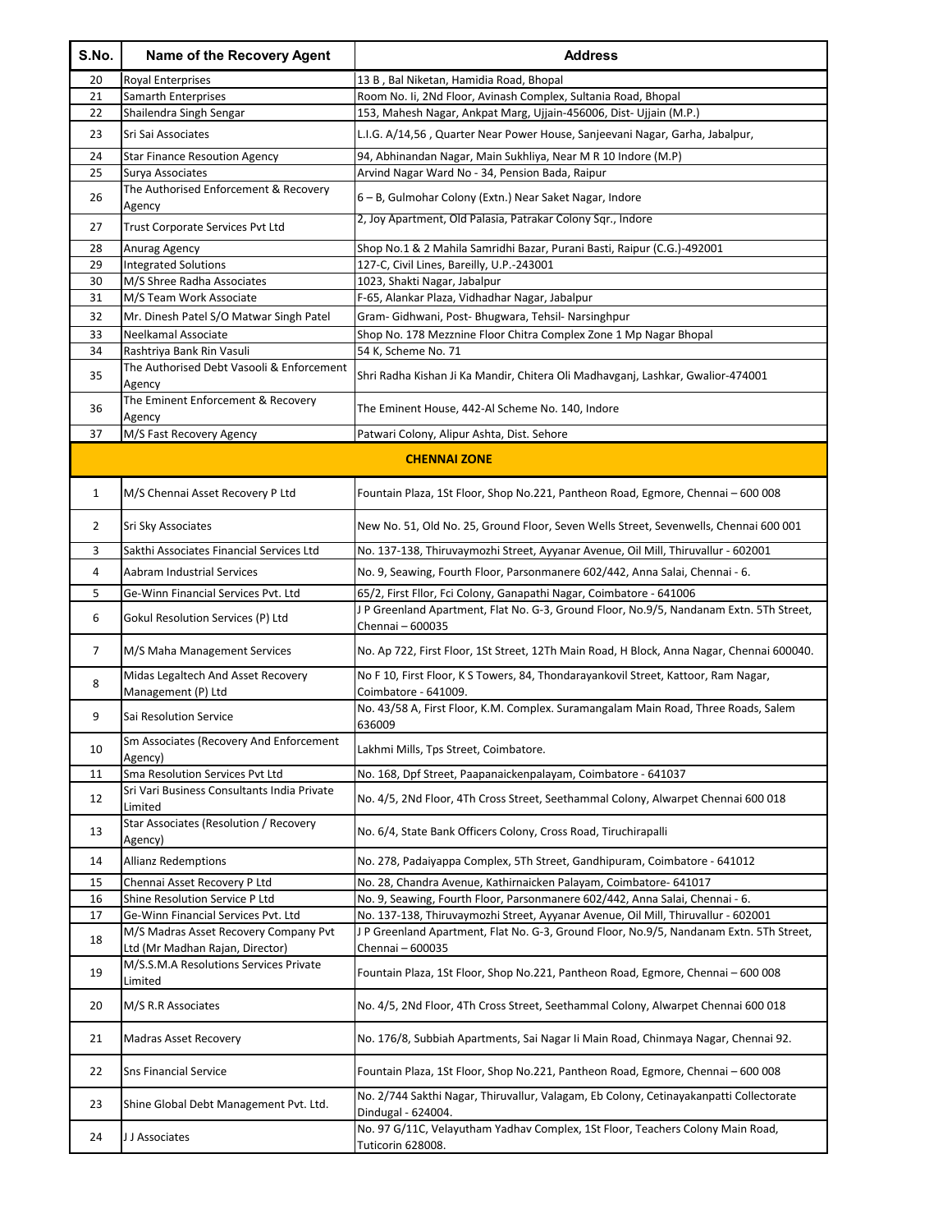| S.No. | <b>Name of the Recovery Agent</b>                                        | <b>Address</b>                                                                                               |
|-------|--------------------------------------------------------------------------|--------------------------------------------------------------------------------------------------------------|
| 20    | Royal Enterprises                                                        | 13 B, Bal Niketan, Hamidia Road, Bhopal                                                                      |
| 21    | Samarth Enterprises                                                      | Room No. Ii, 2Nd Floor, Avinash Complex, Sultania Road, Bhopal                                               |
| 22    | Shailendra Singh Sengar                                                  | 153, Mahesh Nagar, Ankpat Marg, Ujjain-456006, Dist- Ujjain (M.P.)                                           |
| 23    | Sri Sai Associates                                                       | L.I.G. A/14,56, Quarter Near Power House, Sanjeevani Nagar, Garha, Jabalpur,                                 |
| 24    | <b>Star Finance Resoution Agency</b>                                     | 94, Abhinandan Nagar, Main Sukhliya, Near M R 10 Indore (M.P)                                                |
| 25    | Surya Associates                                                         | Arvind Nagar Ward No - 34, Pension Bada, Raipur                                                              |
| 26    | The Authorised Enforcement & Recovery<br>Agency                          | 6 – B, Gulmohar Colony (Extn.) Near Saket Nagar, Indore                                                      |
| 27    | <b>Trust Corporate Services Pvt Ltd</b>                                  | 2, Joy Apartment, Old Palasia, Patrakar Colony Sqr., Indore                                                  |
| 28    | Anurag Agency                                                            | Shop No.1 & 2 Mahila Samridhi Bazar, Purani Basti, Raipur (C.G.)-492001                                      |
| 29    | <b>Integrated Solutions</b>                                              | 127-C, Civil Lines, Bareilly, U.P.-243001                                                                    |
| 30    | M/S Shree Radha Associates                                               | 1023, Shakti Nagar, Jabalpur                                                                                 |
| 31    | M/S Team Work Associate                                                  | F-65, Alankar Plaza, Vidhadhar Nagar, Jabalpur                                                               |
| 32    | Mr. Dinesh Patel S/O Matwar Singh Patel                                  | Gram- Gidhwani, Post- Bhugwara, Tehsil- Narsinghpur                                                          |
| 33    | Neelkamal Associate                                                      | Shop No. 178 Mezznine Floor Chitra Complex Zone 1 Mp Nagar Bhopal                                            |
| 34    | Rashtriya Bank Rin Vasuli                                                | 54 K, Scheme No. 71                                                                                          |
| 35    | The Authorised Debt Vasooli & Enforcement<br>Agency                      | Shri Radha Kishan Ji Ka Mandir, Chitera Oli Madhavganj, Lashkar, Gwalior-474001                              |
| 36    | The Eminent Enforcement & Recovery<br>Agency                             | The Eminent House, 442-Al Scheme No. 140, Indore                                                             |
| 37    | M/S Fast Recovery Agency                                                 | Patwari Colony, Alipur Ashta, Dist. Sehore                                                                   |
|       |                                                                          | <b>CHENNAI ZONE</b>                                                                                          |
|       |                                                                          |                                                                                                              |
| 1     | M/S Chennai Asset Recovery P Ltd                                         | Fountain Plaza, 1St Floor, Shop No.221, Pantheon Road, Egmore, Chennai - 600 008                             |
| 2     | Sri Sky Associates                                                       | New No. 51, Old No. 25, Ground Floor, Seven Wells Street, Sevenwells, Chennai 600 001                        |
| 3     | Sakthi Associates Financial Services Ltd                                 | No. 137-138, Thiruvaymozhi Street, Ayyanar Avenue, Oil Mill, Thiruvallur - 602001                            |
| 4     | Aabram Industrial Services                                               | No. 9, Seawing, Fourth Floor, Parsonmanere 602/442, Anna Salai, Chennai - 6.                                 |
| 5     | Ge-Winn Financial Services Pvt. Ltd                                      | 65/2, First Fllor, Fci Colony, Ganapathi Nagar, Coimbatore - 641006                                          |
|       |                                                                          | JP Greenland Apartment, Flat No. G-3, Ground Floor, No.9/5, Nandanam Extn. 5Th Street,                       |
| 6     | Gokul Resolution Services (P) Ltd                                        | Chennai - 600035                                                                                             |
| 7     | M/S Maha Management Services                                             | No. Ap 722, First Floor, 1St Street, 12Th Main Road, H Block, Anna Nagar, Chennai 600040.                    |
| 8     | Midas Legaltech And Asset Recovery<br>Management (P) Ltd                 | No F 10, First Floor, K S Towers, 84, Thondarayankovil Street, Kattoor, Ram Nagar,<br>Coimbatore - 641009.   |
| 9     | Sai Resolution Service                                                   | No. 43/58 A, First Floor, K.M. Complex. Suramangalam Main Road, Three Roads, Salem<br>636009                 |
| 10    | Sm Associates (Recovery And Enforcement                                  | Lakhmi Mills, Tps Street, Coimbatore.                                                                        |
| 11    | Agency)<br>Sma Resolution Services Pvt Ltd                               | No. 168, Dpf Street, Paapanaickenpalayam, Coimbatore - 641037                                                |
|       | Sri Vari Business Consultants India Private                              |                                                                                                              |
| 12    | Limited                                                                  | No. 4/5, 2Nd Floor, 4Th Cross Street, Seethammal Colony, Alwarpet Chennai 600 018                            |
| 13    | Star Associates (Resolution / Recovery<br>Agency)                        | No. 6/4, State Bank Officers Colony, Cross Road, Tiruchirapalli                                              |
| 14    | <b>Allianz Redemptions</b>                                               | No. 278, Padaiyappa Complex, 5Th Street, Gandhipuram, Coimbatore - 641012                                    |
| 15    | Chennai Asset Recovery P Ltd                                             | No. 28, Chandra Avenue, Kathirnaicken Palayam, Coimbatore- 641017                                            |
| 16    | Shine Resolution Service P Ltd                                           | No. 9, Seawing, Fourth Floor, Parsonmanere 602/442, Anna Salai, Chennai - 6.                                 |
| 17    | Ge-Winn Financial Services Pvt. Ltd                                      | No. 137-138, Thiruvaymozhi Street, Ayyanar Avenue, Oil Mill, Thiruvallur - 602001                            |
| 18    | M/S Madras Asset Recovery Company Pvt<br>Ltd (Mr Madhan Rajan, Director) | JP Greenland Apartment, Flat No. G-3, Ground Floor, No.9/5, Nandanam Extn. 5Th Street,<br>Chennai - 600035   |
|       | M/S.S.M.A Resolutions Services Private                                   |                                                                                                              |
| 19    | Limited                                                                  | Fountain Plaza, 1St Floor, Shop No.221, Pantheon Road, Egmore, Chennai - 600 008                             |
| 20    | M/S R.R Associates                                                       | No. 4/5, 2Nd Floor, 4Th Cross Street, Seethammal Colony, Alwarpet Chennai 600 018                            |
| 21    | Madras Asset Recovery                                                    | No. 176/8, Subbiah Apartments, Sai Nagar Ii Main Road, Chinmaya Nagar, Chennai 92.                           |
| 22    | <b>Sns Financial Service</b>                                             | Fountain Plaza, 1St Floor, Shop No.221, Pantheon Road, Egmore, Chennai - 600 008                             |
| 23    | Shine Global Debt Management Pvt. Ltd.                                   | No. 2/744 Sakthi Nagar, Thiruvallur, Valagam, Eb Colony, Cetinayakanpatti Collectorate<br>Dindugal - 624004. |
| 24    | J J Associates                                                           | No. 97 G/11C, Velayutham Yadhav Complex, 1St Floor, Teachers Colony Main Road,<br>Tuticorin 628008.          |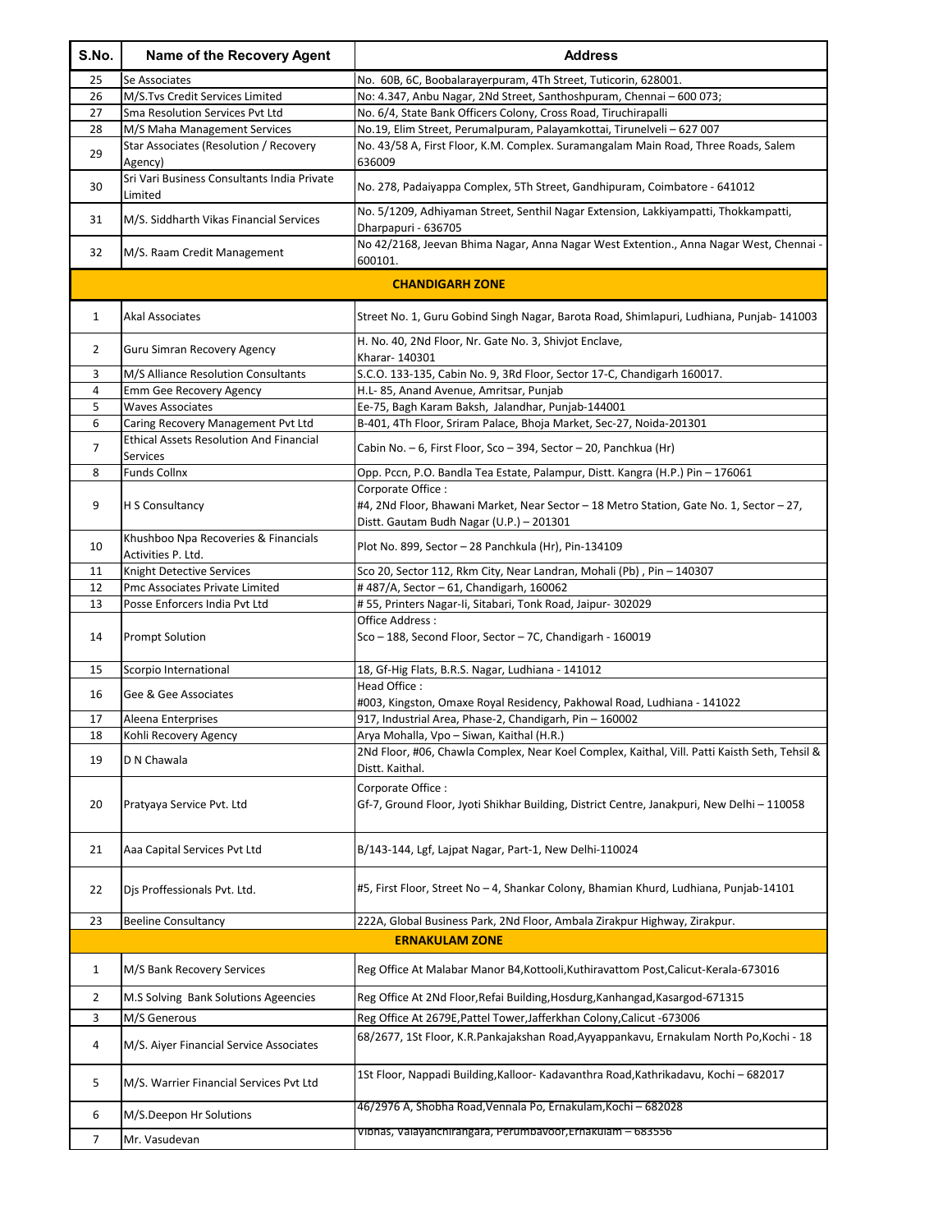| S.No.        | Name of the Recovery Agent                                                           | <b>Address</b>                                                                                                                            |
|--------------|--------------------------------------------------------------------------------------|-------------------------------------------------------------------------------------------------------------------------------------------|
| 25           | Se Associates                                                                        | No. 60B, 6C, Boobalarayerpuram, 4Th Street, Tuticorin, 628001.                                                                            |
| 26           | M/S.Tvs Credit Services Limited                                                      | No: 4.347, Anbu Nagar, 2Nd Street, Santhoshpuram, Chennai - 600 073;                                                                      |
| 27<br>28     | Sma Resolution Services Pvt Ltd<br>M/S Maha Management Services                      | No. 6/4, State Bank Officers Colony, Cross Road, Tiruchirapalli<br>No.19, Elim Street, Perumalpuram, Palayamkottai, Tirunelveli - 627 007 |
|              | Star Associates (Resolution / Recovery                                               | No. 43/58 A, First Floor, K.M. Complex. Suramangalam Main Road, Three Roads, Salem                                                        |
| 29           | Agency)                                                                              | 636009                                                                                                                                    |
| 30           | Sri Vari Business Consultants India Private<br>Limited                               | No. 278, Padaiyappa Complex, 5Th Street, Gandhipuram, Coimbatore - 641012                                                                 |
| 31           | M/S. Siddharth Vikas Financial Services                                              | No. 5/1209, Adhiyaman Street, Senthil Nagar Extension, Lakkiyampatti, Thokkampatti,<br>Dharpapuri - 636705                                |
| 32           | M/S. Raam Credit Management                                                          | No 42/2168, Jeevan Bhima Nagar, Anna Nagar West Extention., Anna Nagar West, Chennai -<br>600101.                                         |
|              |                                                                                      | <b>CHANDIGARH ZONE</b>                                                                                                                    |
| $\mathbf{1}$ | Akal Associates                                                                      | Street No. 1, Guru Gobind Singh Nagar, Barota Road, Shimlapuri, Ludhiana, Punjab- 141003                                                  |
| 2            | Guru Simran Recovery Agency                                                          | H. No. 40, 2Nd Floor, Nr. Gate No. 3, Shivjot Enclave,<br>Kharar- 140301                                                                  |
| 3            | M/S Alliance Resolution Consultants                                                  | S.C.O. 133-135, Cabin No. 9, 3Rd Floor, Sector 17-C, Chandigarh 160017.                                                                   |
| 4            | Emm Gee Recovery Agency                                                              | H.L-85, Anand Avenue, Amritsar, Punjab                                                                                                    |
| 5<br>6       | <b>Waves Associates</b>                                                              | Ee-75, Bagh Karam Baksh, Jalandhar, Punjab-144001                                                                                         |
|              | Caring Recovery Management Pvt Ltd<br><b>Ethical Assets Resolution And Financial</b> | B-401, 4Th Floor, Sriram Palace, Bhoja Market, Sec-27, Noida-201301                                                                       |
| 7            | Services                                                                             | Cabin No. - 6, First Floor, Sco - 394, Sector - 20, Panchkua (Hr)                                                                         |
| 8            | <b>Funds Collnx</b>                                                                  | Opp. Pccn, P.O. Bandla Tea Estate, Palampur, Distt. Kangra (H.P.) Pin - 176061                                                            |
|              |                                                                                      | Corporate Office:                                                                                                                         |
| 9            | H S Consultancy                                                                      | #4, 2Nd Floor, Bhawani Market, Near Sector - 18 Metro Station, Gate No. 1, Sector - 27,<br>Distt. Gautam Budh Nagar (U.P.) - 201301       |
| 10           | Khushboo Npa Recoveries & Financials<br>Activities P. Ltd.                           | Plot No. 899, Sector - 28 Panchkula (Hr), Pin-134109                                                                                      |
| 11           | Knight Detective Services                                                            | Sco 20, Sector 112, Rkm City, Near Landran, Mohali (Pb), Pin - 140307                                                                     |
| 12           | Pmc Associates Private Limited                                                       | #487/A, Sector - 61, Chandigarh, 160062                                                                                                   |
| 13           | Posse Enforcers India Pvt Ltd                                                        | #55, Printers Nagar-Ii, Sitabari, Tonk Road, Jaipur- 302029                                                                               |
| 14           | <b>Prompt Solution</b>                                                               | Office Address:<br>Sco - 188, Second Floor, Sector - 7C, Chandigarh - 160019                                                              |
| 15           | Scorpio International                                                                | 18, Gf-Hig Flats, B.R.S. Nagar, Ludhiana - 141012                                                                                         |
| 16           | Gee & Gee Associates                                                                 | Head Office:                                                                                                                              |
| 17           |                                                                                      | #003, Kingston, Omaxe Royal Residency, Pakhowal Road, Ludhiana - 141022<br>917, Industrial Area, Phase-2, Chandigarh, Pin - 160002        |
| 18           | Aleena Enterprises<br>Kohli Recovery Agency                                          | Arya Mohalla, Vpo - Siwan, Kaithal (H.R.)                                                                                                 |
| 19           | D N Chawala                                                                          | 2Nd Floor, #06, Chawla Complex, Near Koel Complex, Kaithal, Vill. Patti Kaisth Seth, Tehsil &<br>Distt. Kaithal.                          |
| 20           | Pratyaya Service Pvt. Ltd                                                            | Corporate Office:<br>Gf-7, Ground Floor, Jyoti Shikhar Building, District Centre, Janakpuri, New Delhi – 110058                           |
| 21           | Aaa Capital Services Pvt Ltd                                                         | B/143-144, Lgf, Lajpat Nagar, Part-1, New Delhi-110024                                                                                    |
| 22           | Dis Proffessionals Pvt. Ltd.                                                         | #5, First Floor, Street No - 4, Shankar Colony, Bhamian Khurd, Ludhiana, Punjab-14101                                                     |
| 23           | <b>Beeline Consultancy</b>                                                           | 222A, Global Business Park, 2Nd Floor, Ambala Zirakpur Highway, Zirakpur.                                                                 |
|              |                                                                                      | <b>ERNAKULAM ZONE</b>                                                                                                                     |
| 1            | M/S Bank Recovery Services                                                           | Reg Office At Malabar Manor B4, Kottooli, Kuthiravattom Post, Calicut-Kerala-673016                                                       |
| 2            | M.S Solving Bank Solutions Ageencies                                                 | Reg Office At 2Nd Floor, Refai Building, Hosdurg, Kanhangad, Kasargod-671315                                                              |
| 3            | M/S Generous                                                                         | Reg Office At 2679E, Pattel Tower, Jafferkhan Colony, Calicut -673006                                                                     |
| 4            | M/S. Aiyer Financial Service Associates                                              | 68/2677, 1St Floor, K.R.Pankajakshan Road, Ayyappankavu, Ernakulam North Po, Kochi - 18                                                   |
| 5            | M/S. Warrier Financial Services Pvt Ltd                                              | 1St Floor, Nappadi Building, Kalloor- Kadavanthra Road, Kathrikadavu, Kochi - 682017                                                      |
| 6            | M/S.Deepon Hr Solutions                                                              | 46/2976 A, Shobha Road, Vennala Po, Ernakulam, Kochi - 682028                                                                             |
| 7            | Mr. Vasudevan                                                                        | Vibhas, Valayanchirangara, Perumbavoor, Ernakulam - 683556                                                                                |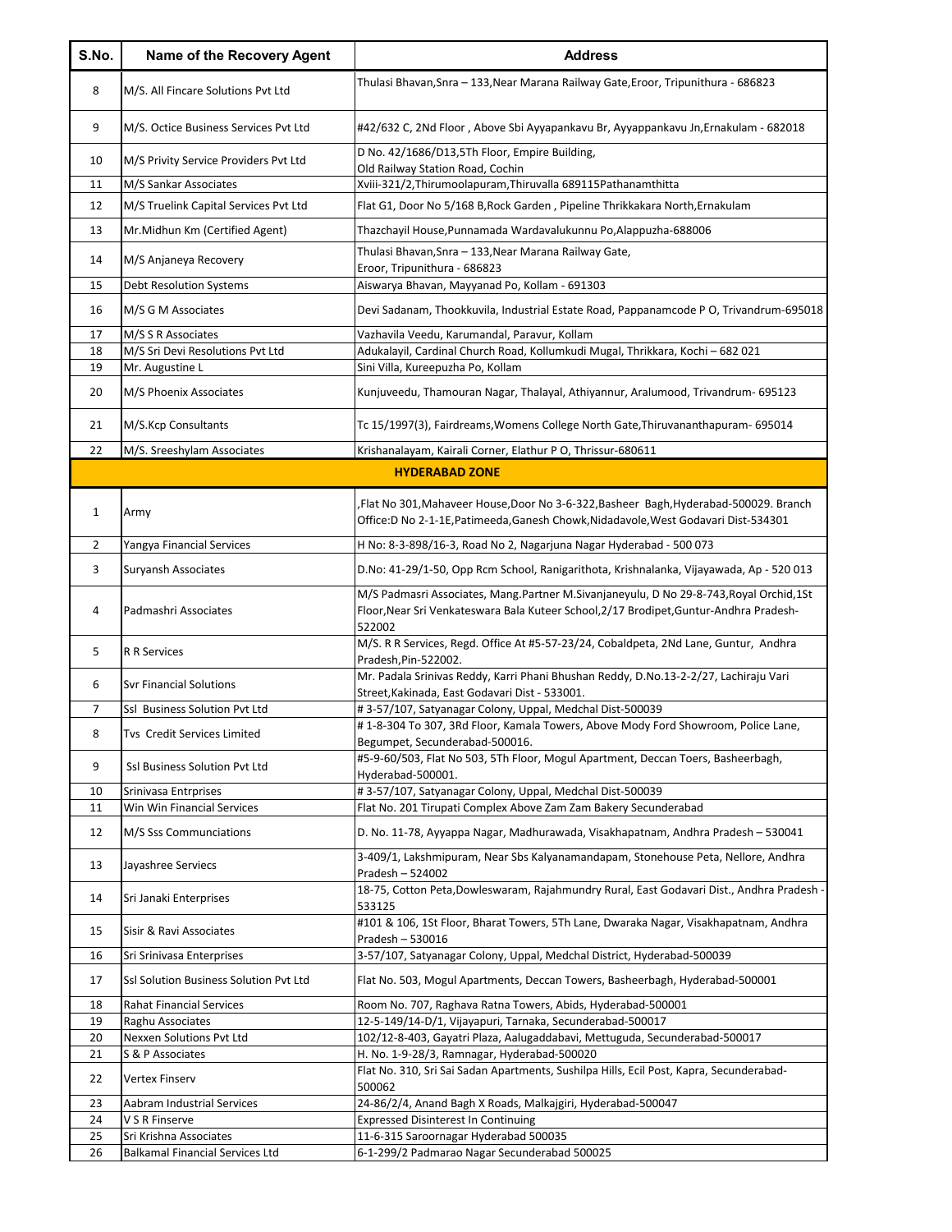| S.No.    | Name of the Recovery Agent                   | <b>Address</b>                                                                                                                                                                              |
|----------|----------------------------------------------|---------------------------------------------------------------------------------------------------------------------------------------------------------------------------------------------|
| 8        | M/S. All Fincare Solutions Pvt Ltd           | Thulasi Bhavan, Snra - 133, Near Marana Railway Gate, Eroor, Tripunithura - 686823                                                                                                          |
| 9        | M/S. Octice Business Services Pvt Ltd        | #42/632 C, 2Nd Floor, Above Sbi Ayyapankavu Br, Ayyappankavu Jn, Ernakulam - 682018                                                                                                         |
| 10       | M/S Privity Service Providers Pvt Ltd        | D No. 42/1686/D13,5Th Floor, Empire Building,<br>Old Railway Station Road, Cochin                                                                                                           |
| 11       | M/S Sankar Associates                        | Xviii-321/2, Thirumoolapuram, Thiruvalla 689115 Pathanamthitta                                                                                                                              |
| 12       | M/S Truelink Capital Services Pvt Ltd        | Flat G1, Door No 5/168 B, Rock Garden, Pipeline Thrikkakara North, Ernakulam                                                                                                                |
| 13       | Mr.Midhun Km (Certified Agent)               | Thazchayil House, Punnamada Wardavalukunnu Po, Alappuzha-688006                                                                                                                             |
| 14       | M/S Anjaneya Recovery                        | Thulasi Bhavan, Snra - 133, Near Marana Railway Gate,<br>Eroor, Tripunithura - 686823                                                                                                       |
| 15       | Debt Resolution Systems                      | Aiswarya Bhavan, Mayyanad Po, Kollam - 691303                                                                                                                                               |
| 16       | M/S G M Associates                           | Devi Sadanam, Thookkuvila, Industrial Estate Road, Pappanamcode P O, Trivandrum-695018                                                                                                      |
| 17       | M/S S R Associates                           | Vazhavila Veedu, Karumandal, Paravur, Kollam                                                                                                                                                |
| 18       | M/S Sri Devi Resolutions Pvt Ltd             | Adukalayil, Cardinal Church Road, Kollumkudi Mugal, Thrikkara, Kochi - 682 021                                                                                                              |
| 19       | Mr. Augustine L                              | Sini Villa, Kureepuzha Po, Kollam                                                                                                                                                           |
| 20       | M/S Phoenix Associates                       | Kunjuveedu, Thamouran Nagar, Thalayal, Athiyannur, Aralumood, Trivandrum- 695123                                                                                                            |
| 21       | M/S.Kcp Consultants                          | Tc 15/1997(3), Fairdreams, Womens College North Gate, Thiruvananthapuram- 695014                                                                                                            |
| 22       | M/S. Sreeshylam Associates                   | Krishanalayam, Kairali Corner, Elathur P O, Thrissur-680611                                                                                                                                 |
|          |                                              | <b>HYDERABAD ZONE</b>                                                                                                                                                                       |
| 1        | Army                                         | Flat No 301, Mahaveer House, Door No 3-6-322, Basheer Bagh, Hyderabad-500029. Branch<br>Office:D No 2-1-1E, Patimeeda, Ganesh Chowk, Nidadavole, West Godavari Dist-534301                  |
| 2        | Yangya Financial Services                    | H No: 8-3-898/16-3, Road No 2, Nagarjuna Nagar Hyderabad - 500 073                                                                                                                          |
| 3        | Suryansh Associates                          | D.No: 41-29/1-50, Opp Rcm School, Ranigarithota, Krishnalanka, Vijayawada, Ap - 520 013                                                                                                     |
| 4        | Padmashri Associates                         | M/S Padmasri Associates, Mang.Partner M.Sivanjaneyulu, D No 29-8-743, Royal Orchid, 1St<br>Floor, Near Sri Venkateswara Bala Kuteer School, 2/17 Brodipet, Guntur-Andhra Pradesh-<br>522002 |
| 5        | <b>R R Services</b>                          | M/S. R R Services, Regd. Office At #5-57-23/24, Cobaldpeta, 2Nd Lane, Guntur, Andhra<br>Pradesh, Pin-522002.                                                                                |
| 6        | <b>Syr Financial Solutions</b>               | Mr. Padala Srinivas Reddy, Karri Phani Bhushan Reddy, D.No.13-2-2/27, Lachiraju Vari<br>Street, Kakinada, East Godavari Dist - 533001.                                                      |
| 7        | Ssl Business Solution Pvt Ltd                | #3-57/107, Satyanagar Colony, Uppal, Medchal Dist-500039                                                                                                                                    |
| 8        | <b>Tys Credit Services Limited</b>           | #1-8-304 To 307, 3Rd Floor, Kamala Towers, Above Mody Ford Showroom, Police Lane,<br>Begumpet, Secunderabad-500016.                                                                         |
| 9        | Ssl Business Solution Pvt Ltd                | #5-9-60/503, Flat No 503, 5Th Floor, Mogul Apartment, Deccan Toers, Basheerbagh,<br>Hyderabad-500001.                                                                                       |
| 10       | Srinivasa Entrprises                         | #3-57/107, Satyanagar Colony, Uppal, Medchal Dist-500039                                                                                                                                    |
| 11       | Win Win Financial Services                   | Flat No. 201 Tirupati Complex Above Zam Zam Bakery Secunderabad                                                                                                                             |
| 12       | M/S Sss Communciations                       | D. No. 11-78, Ayyappa Nagar, Madhurawada, Visakhapatnam, Andhra Pradesh - 530041                                                                                                            |
| 13       | Jayashree Serviecs                           | 3-409/1, Lakshmipuram, Near Sbs Kalyanamandapam, Stonehouse Peta, Nellore, Andhra<br>Pradesh - 524002                                                                                       |
| 14       | Sri Janaki Enterprises                       | 18-75, Cotton Peta, Dowleswaram, Rajahmundry Rural, East Godavari Dist., Andhra Pradesh<br>533125                                                                                           |
| 15       | Sisir & Ravi Associates                      | #101 & 106, 1St Floor, Bharat Towers, 5Th Lane, Dwaraka Nagar, Visakhapatnam, Andhra<br>Pradesh - 530016                                                                                    |
| 16       | Sri Srinivasa Enterprises                    | 3-57/107, Satyanagar Colony, Uppal, Medchal District, Hyderabad-500039                                                                                                                      |
| 17       | Ssl Solution Business Solution Pvt Ltd       | Flat No. 503, Mogul Apartments, Deccan Towers, Basheerbagh, Hyderabad-500001                                                                                                                |
| 18       | <b>Rahat Financial Services</b>              | Room No. 707, Raghava Ratna Towers, Abids, Hyderabad-500001                                                                                                                                 |
| 19       | Raghu Associates                             | 12-5-149/14-D/1, Vijayapuri, Tarnaka, Secunderabad-500017                                                                                                                                   |
| 20<br>21 | Nexxen Solutions Pvt Ltd<br>S & P Associates | 102/12-8-403, Gayatri Plaza, Aalugaddabavi, Mettuguda, Secunderabad-500017<br>H. No. 1-9-28/3, Ramnagar, Hyderabad-500020                                                                   |
| 22       | Vertex Finserv                               | Flat No. 310, Sri Sai Sadan Apartments, Sushilpa Hills, Ecil Post, Kapra, Secunderabad-<br>500062                                                                                           |
| 23       | Aabram Industrial Services                   | 24-86/2/4, Anand Bagh X Roads, Malkajgiri, Hyderabad-500047                                                                                                                                 |
| 24       | V S R Finserve                               | <b>Expressed Disinterest In Continuing</b>                                                                                                                                                  |
| 25       | Sri Krishna Associates                       | 11-6-315 Saroornagar Hyderabad 500035                                                                                                                                                       |
| 26       | <b>Balkamal Financial Services Ltd</b>       | 6-1-299/2 Padmarao Nagar Secunderabad 500025                                                                                                                                                |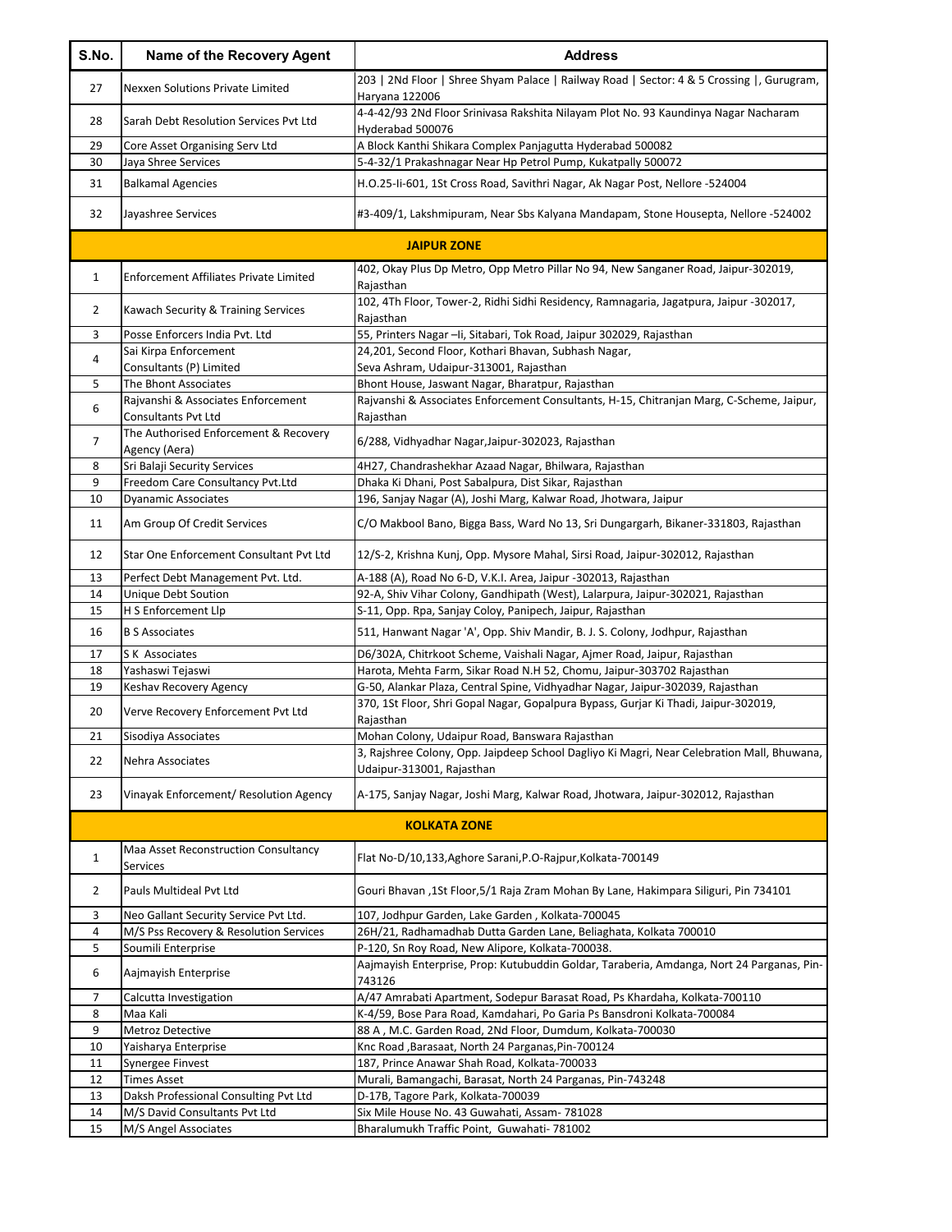| S.No.          | Name of the Recovery Agent                             | <b>Address</b>                                                                                              |
|----------------|--------------------------------------------------------|-------------------------------------------------------------------------------------------------------------|
| 27             | <b>Nexxen Solutions Private Limited</b>                | 203   2Nd Floor   Shree Shyam Palace   Railway Road   Sector: 4 & 5 Crossing  , Gurugram,<br>Haryana 122006 |
| 28             | Sarah Debt Resolution Services Pvt Ltd                 | 4-4-42/93 2Nd Floor Srinivasa Rakshita Nilayam Plot No. 93 Kaundinya Nagar Nacharam<br>Hyderabad 500076     |
| 29             | Core Asset Organising Serv Ltd                         | A Block Kanthi Shikara Complex Panjagutta Hyderabad 500082                                                  |
| 30             | Jaya Shree Services                                    | 5-4-32/1 Prakashnagar Near Hp Petrol Pump, Kukatpally 500072                                                |
| 31             | <b>Balkamal Agencies</b>                               | H.O.25-Ii-601, 1St Cross Road, Savithri Nagar, Ak Nagar Post, Nellore -524004                               |
| 32             | Jayashree Services                                     | #3-409/1, Lakshmipuram, Near Sbs Kalyana Mandapam, Stone Housepta, Nellore -524002                          |
|                |                                                        | <b>JAIPUR ZONE</b>                                                                                          |
| 1              | Enforcement Affiliates Private Limited                 | 402, Okay Plus Dp Metro, Opp Metro Pillar No 94, New Sanganer Road, Jaipur-302019,<br>Rajasthan             |
| 2              | Kawach Security & Training Services                    | 102, 4Th Floor, Tower-2, Ridhi Sidhi Residency, Ramnagaria, Jagatpura, Jaipur -302017,<br>Rajasthan         |
| 3              | Posse Enforcers India Pvt. Ltd                         | 55, Printers Nagar - Ii, Sitabari, Tok Road, Jaipur 302029, Rajasthan                                       |
| 4              | Sai Kirpa Enforcement                                  | 24,201, Second Floor, Kothari Bhavan, Subhash Nagar,                                                        |
|                | Consultants (P) Limited                                | Seva Ashram, Udaipur-313001, Rajasthan                                                                      |
| 5              | The Bhont Associates                                   | Bhont House, Jaswant Nagar, Bharatpur, Rajasthan                                                            |
| 6              | Rajvanshi & Associates Enforcement                     | Rajvanshi & Associates Enforcement Consultants, H-15, Chitranjan Marg, C-Scheme, Jaipur,                    |
|                | Consultants Pvt Ltd                                    | Rajasthan                                                                                                   |
| 7              | The Authorised Enforcement & Recovery<br>Agency (Aera) | 6/288, Vidhyadhar Nagar, Jaipur-302023, Rajasthan                                                           |
| 8              | Sri Balaji Security Services                           | 4H27, Chandrashekhar Azaad Nagar, Bhilwara, Rajasthan                                                       |
| 9              | Freedom Care Consultancy Pvt.Ltd                       | Dhaka Ki Dhani, Post Sabalpura, Dist Sikar, Rajasthan                                                       |
| 10             | <b>Dyanamic Associates</b>                             | 196, Sanjay Nagar (A), Joshi Marg, Kalwar Road, Jhotwara, Jaipur                                            |
| 11             | Am Group Of Credit Services                            | C/O Makbool Bano, Bigga Bass, Ward No 13, Sri Dungargarh, Bikaner-331803, Rajasthan                         |
| 12             | Star One Enforcement Consultant Pvt Ltd                | 12/S-2, Krishna Kunj, Opp. Mysore Mahal, Sirsi Road, Jaipur-302012, Rajasthan                               |
| 13             | Perfect Debt Management Pvt. Ltd.                      | A-188 (A), Road No 6-D, V.K.I. Area, Jaipur -302013, Rajasthan                                              |
| 14             | Unique Debt Soution                                    | 92-A, Shiv Vihar Colony, Gandhipath (West), Lalarpura, Jaipur-302021, Rajasthan                             |
| 15             | H S Enforcement Llp                                    | S-11, Opp. Rpa, Sanjay Coloy, Panipech, Jaipur, Rajasthan                                                   |
| 16             | <b>B S Associates</b>                                  | 511, Hanwant Nagar 'A', Opp. Shiv Mandir, B. J. S. Colony, Jodhpur, Rajasthan                               |
| 17             | S K Associates                                         | D6/302A, Chitrkoot Scheme, Vaishali Nagar, Ajmer Road, Jaipur, Rajasthan                                    |
| 18             | Yashaswi Tejaswi                                       | Harota, Mehta Farm, Sikar Road N.H 52, Chomu, Jaipur-303702 Rajasthan                                       |
| 19             | Keshav Recovery Agency                                 | G-50, Alankar Plaza, Central Spine, Vidhyadhar Nagar, Jaipur-302039, Rajasthan                              |
| 20             | Verve Recovery Enforcement Pvt Ltd                     | 370, 1St Floor, Shri Gopal Nagar, Gopalpura Bypass, Gurjar Ki Thadi, Jaipur-302019,<br>Rajasthan            |
| 21             | Sisodiya Associates                                    | Mohan Colony, Udaipur Road, Banswara Rajasthan                                                              |
| 22             | Nehra Associates                                       | 3, Rajshree Colony, Opp. Jaipdeep School Dagliyo Ki Magri, Near Celebration Mall, Bhuwana,                  |
|                |                                                        | Udaipur-313001, Rajasthan                                                                                   |
| 23             | Vinayak Enforcement/ Resolution Agency                 | A-175, Sanjay Nagar, Joshi Marg, Kalwar Road, Jhotwara, Jaipur-302012, Rajasthan                            |
|                |                                                        | <b>KOLKATA ZONE</b>                                                                                         |
| 1              | Maa Asset Reconstruction Consultancy<br>Services       | Flat No-D/10,133, Aghore Sarani, P.O-Rajpur, Kolkata-700149                                                 |
| $\overline{2}$ | Pauls Multideal Pvt Ltd                                | Gouri Bhavan, 1St Floor, 5/1 Raja Zram Mohan By Lane, Hakimpara Siliguri, Pin 734101                        |
| 3              | Neo Gallant Security Service Pvt Ltd.                  | 107, Jodhpur Garden, Lake Garden, Kolkata-700045                                                            |
| 4              | M/S Pss Recovery & Resolution Services                 | 26H/21, Radhamadhab Dutta Garden Lane, Beliaghata, Kolkata 700010                                           |
| 5              | Soumili Enterprise                                     | P-120, Sn Roy Road, New Alipore, Kolkata-700038.                                                            |
| 6              | Aajmayish Enterprise                                   | Aajmayish Enterprise, Prop: Kutubuddin Goldar, Taraberia, Amdanga, Nort 24 Parganas, Pin-<br>743126         |
| 7              | Calcutta Investigation                                 | A/47 Amrabati Apartment, Sodepur Barasat Road, Ps Khardaha, Kolkata-700110                                  |
| 8              | Maa Kali                                               | K-4/59, Bose Para Road, Kamdahari, Po Garia Ps Bansdroni Kolkata-700084                                     |
| 9              | Metroz Detective                                       | 88 A, M.C. Garden Road, 2Nd Floor, Dumdum, Kolkata-700030                                                   |
| 10             | Yaisharya Enterprise                                   | Knc Road, Barasaat, North 24 Parganas, Pin-700124                                                           |
| 11             | Synergee Finvest                                       | 187, Prince Anawar Shah Road, Kolkata-700033                                                                |
| 12             | <b>Times Asset</b>                                     | Murali, Bamangachi, Barasat, North 24 Parganas, Pin-743248                                                  |
| 13             | Daksh Professional Consulting Pvt Ltd                  | D-17B, Tagore Park, Kolkata-700039                                                                          |
| 14             | M/S David Consultants Pvt Ltd                          | Six Mile House No. 43 Guwahati, Assam- 781028                                                               |
| 15             | M/S Angel Associates                                   | Bharalumukh Traffic Point, Guwahati- 781002                                                                 |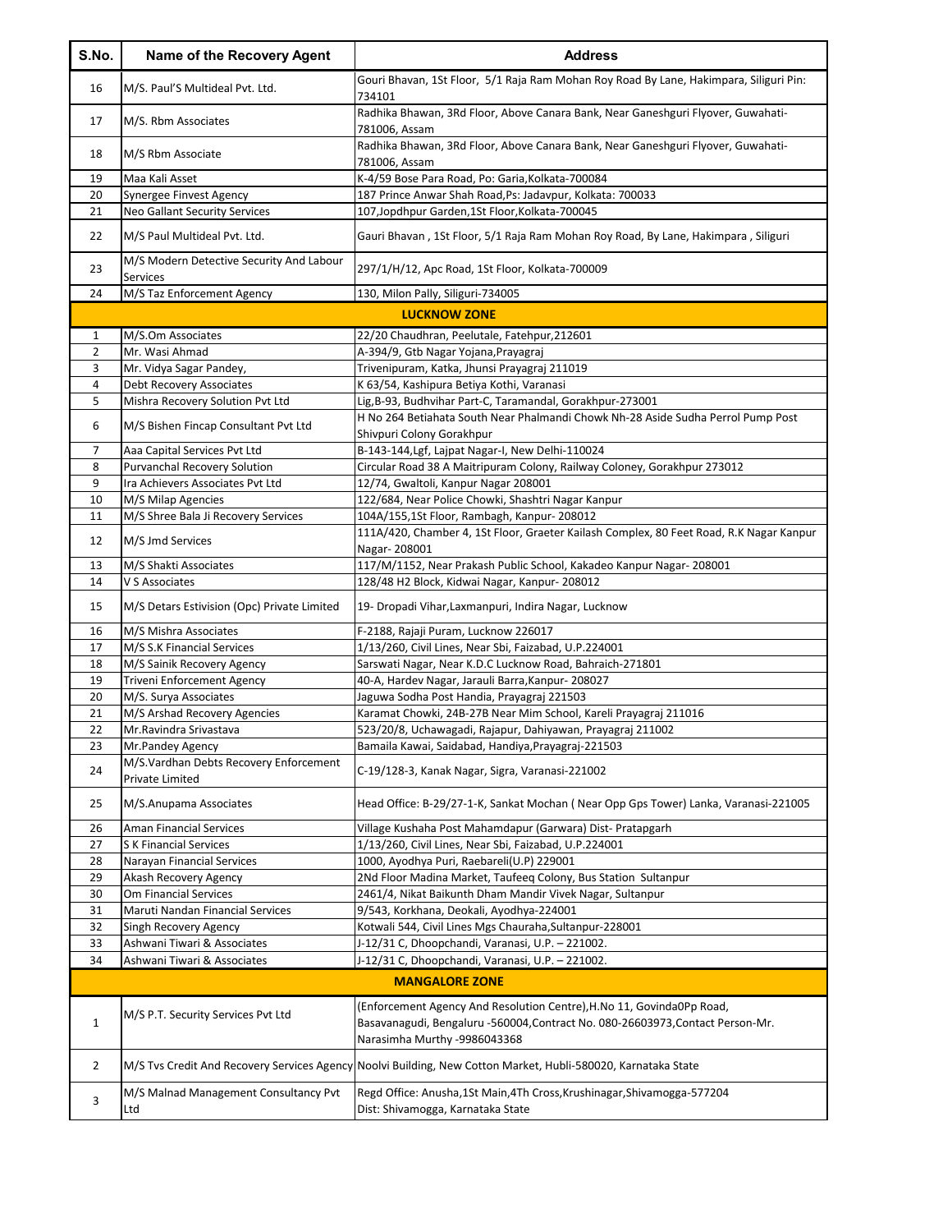| S.No.          | Name of the Recovery Agent                           | <b>Address</b>                                                                                                                                                                          |
|----------------|------------------------------------------------------|-----------------------------------------------------------------------------------------------------------------------------------------------------------------------------------------|
| 16             | M/S. Paul'S Multideal Pvt. Ltd.                      | Gouri Bhavan, 1St Floor, 5/1 Raja Ram Mohan Roy Road By Lane, Hakimpara, Siliguri Pin:<br>734101                                                                                        |
| 17             | M/S. Rbm Associates                                  | Radhika Bhawan, 3Rd Floor, Above Canara Bank, Near Ganeshguri Flyover, Guwahati-<br>781006, Assam                                                                                       |
| 18             | M/S Rbm Associate                                    | Radhika Bhawan, 3Rd Floor, Above Canara Bank, Near Ganeshguri Flyover, Guwahati-<br>781006, Assam                                                                                       |
| 19             | Maa Kali Asset                                       | K-4/59 Bose Para Road, Po: Garia, Kolkata-700084                                                                                                                                        |
| 20             | Synergee Finvest Agency                              | 187 Prince Anwar Shah Road, Ps: Jadavpur, Kolkata: 700033                                                                                                                               |
| 21             | Neo Gallant Security Services                        | 107, Jopdhpur Garden, 1St Floor, Kolkata-700045                                                                                                                                         |
| 22             | M/S Paul Multideal Pvt. Ltd.                         | Gauri Bhavan, 1St Floor, 5/1 Raja Ram Mohan Roy Road, By Lane, Hakimpara, Siliguri                                                                                                      |
| 23             | M/S Modern Detective Security And Labour<br>Services | 297/1/H/12, Apc Road, 1St Floor, Kolkata-700009                                                                                                                                         |
| 24             | M/S Taz Enforcement Agency                           | 130, Milon Pally, Siliguri-734005                                                                                                                                                       |
|                |                                                      | <b>LUCKNOW ZONE</b>                                                                                                                                                                     |
| $\mathbf{1}$   | M/S.Om Associates                                    | 22/20 Chaudhran, Peelutale, Fatehpur, 212601                                                                                                                                            |
| $\overline{2}$ | Mr. Wasi Ahmad                                       | A-394/9, Gtb Nagar Yojana, Prayagraj                                                                                                                                                    |
| 3              | Mr. Vidya Sagar Pandey,                              | Trivenipuram, Katka, Jhunsi Prayagraj 211019                                                                                                                                            |
| 4              | Debt Recovery Associates                             | K 63/54, Kashipura Betiya Kothi, Varanasi                                                                                                                                               |
| 5              | Mishra Recovery Solution Pvt Ltd                     | Lig, B-93, Budhvihar Part-C, Taramandal, Gorakhpur-273001                                                                                                                               |
|                |                                                      | H No 264 Betiahata South Near Phalmandi Chowk Nh-28 Aside Sudha Perrol Pump Post                                                                                                        |
| 6              | M/S Bishen Fincap Consultant Pvt Ltd                 | Shivpuri Colony Gorakhpur                                                                                                                                                               |
| 7              | Aaa Capital Services Pvt Ltd                         | B-143-144, Lgf, Lajpat Nagar-I, New Delhi-110024                                                                                                                                        |
| 8              | <b>Purvanchal Recovery Solution</b>                  | Circular Road 38 A Maitripuram Colony, Railway Coloney, Gorakhpur 273012                                                                                                                |
| 9              | Ira Achievers Associates Pvt Ltd                     | 12/74, Gwaltoli, Kanpur Nagar 208001                                                                                                                                                    |
| 10             | M/S Milap Agencies                                   | 122/684, Near Police Chowki, Shashtri Nagar Kanpur                                                                                                                                      |
| 11             | M/S Shree Bala Ji Recovery Services                  | 104A/155,1St Floor, Rambagh, Kanpur-208012                                                                                                                                              |
| 12             | M/S Jmd Services                                     | 111A/420, Chamber 4, 1St Floor, Graeter Kailash Complex, 80 Feet Road, R.K Nagar Kanpur<br>Nagar-208001                                                                                 |
| 13             | M/S Shakti Associates                                | 117/M/1152, Near Prakash Public School, Kakadeo Kanpur Nagar-208001                                                                                                                     |
| 14             | V S Associates                                       | 128/48 H2 Block, Kidwai Nagar, Kanpur-208012                                                                                                                                            |
| 15             | M/S Detars Estivision (Opc) Private Limited          | 19 - Dropadi Vihar, Laxmanpuri, Indira Nagar, Lucknow                                                                                                                                   |
| 16             | M/S Mishra Associates                                | F-2188, Rajaji Puram, Lucknow 226017                                                                                                                                                    |
| 17             | M/S S.K Financial Services                           | 1/13/260, Civil Lines, Near Sbi, Faizabad, U.P.224001                                                                                                                                   |
| 18             | M/S Sainik Recovery Agency                           | Sarswati Nagar, Near K.D.C Lucknow Road, Bahraich-271801                                                                                                                                |
| 19             | <b>Triveni Enforcement Agency</b>                    | 40-A, Hardev Nagar, Jarauli Barra, Kanpur-208027                                                                                                                                        |
| 20             | M/S. Surya Associates                                | Jaguwa Sodha Post Handia, Prayagraj 221503                                                                                                                                              |
| 21             | M/S Arshad Recovery Agencies                         | Karamat Chowki, 24B-27B Near Mim School, Kareli Prayagraj 211016                                                                                                                        |
| 22             | Mr.Ravindra Srivastava                               | 523/20/8, Uchawagadi, Rajapur, Dahiyawan, Prayagraj 211002                                                                                                                              |
| 23             | Mr.Pandey Agency                                     | Bamaila Kawai, Saidabad, Handiya, Prayagraj-221503                                                                                                                                      |
|                | M/S. Vardhan Debts Recovery Enforcement              |                                                                                                                                                                                         |
| 24             | Private Limited                                      | C-19/128-3, Kanak Nagar, Sigra, Varanasi-221002                                                                                                                                         |
| 25             | M/S.Anupama Associates                               | Head Office: B-29/27-1-K, Sankat Mochan (Near Opp Gps Tower) Lanka, Varanasi-221005                                                                                                     |
| 26             | Aman Financial Services                              | Village Kushaha Post Mahamdapur (Garwara) Dist- Pratapgarh                                                                                                                              |
| 27             | <b>SK Financial Services</b>                         | 1/13/260, Civil Lines, Near Sbi, Faizabad, U.P.224001                                                                                                                                   |
| 28             | Narayan Financial Services                           | 1000, Ayodhya Puri, Raebareli(U.P) 229001                                                                                                                                               |
| 29             | Akash Recovery Agency                                | 2Nd Floor Madina Market, Taufeeq Colony, Bus Station Sultanpur                                                                                                                          |
| 30             | Om Financial Services                                | 2461/4, Nikat Baikunth Dham Mandir Vivek Nagar, Sultanpur                                                                                                                               |
| 31             | Maruti Nandan Financial Services                     | 9/543, Korkhana, Deokali, Ayodhya-224001                                                                                                                                                |
| 32             | Singh Recovery Agency                                | Kotwali 544, Civil Lines Mgs Chauraha, Sultanpur-228001                                                                                                                                 |
| 33             | Ashwani Tiwari & Associates                          | J-12/31 C, Dhoopchandi, Varanasi, U.P. - 221002.                                                                                                                                        |
| 34             | Ashwani Tiwari & Associates                          | J-12/31 C, Dhoopchandi, Varanasi, U.P. - 221002.                                                                                                                                        |
|                |                                                      | <b>MANGALORE ZONE</b>                                                                                                                                                                   |
| $\mathbf 1$    | M/S P.T. Security Services Pvt Ltd                   | (Enforcement Agency And Resolution Centre), H.No 11, Govinda0Pp Road,<br>Basavanagudi, Bengaluru -560004, Contract No. 080-26603973, Contact Person-Mr.<br>Narasimha Murthy -9986043368 |
| $\overline{2}$ |                                                      | M/S Tvs Credit And Recovery Services Agency Noolvi Building, New Cotton Market, Hubli-580020, Karnataka State                                                                           |
| 3              | M/S Malnad Management Consultancy Pvt<br>Ltd         | Regd Office: Anusha, 1St Main, 4Th Cross, Krushinagar, Shivamogga-577204<br>Dist: Shivamogga, Karnataka State                                                                           |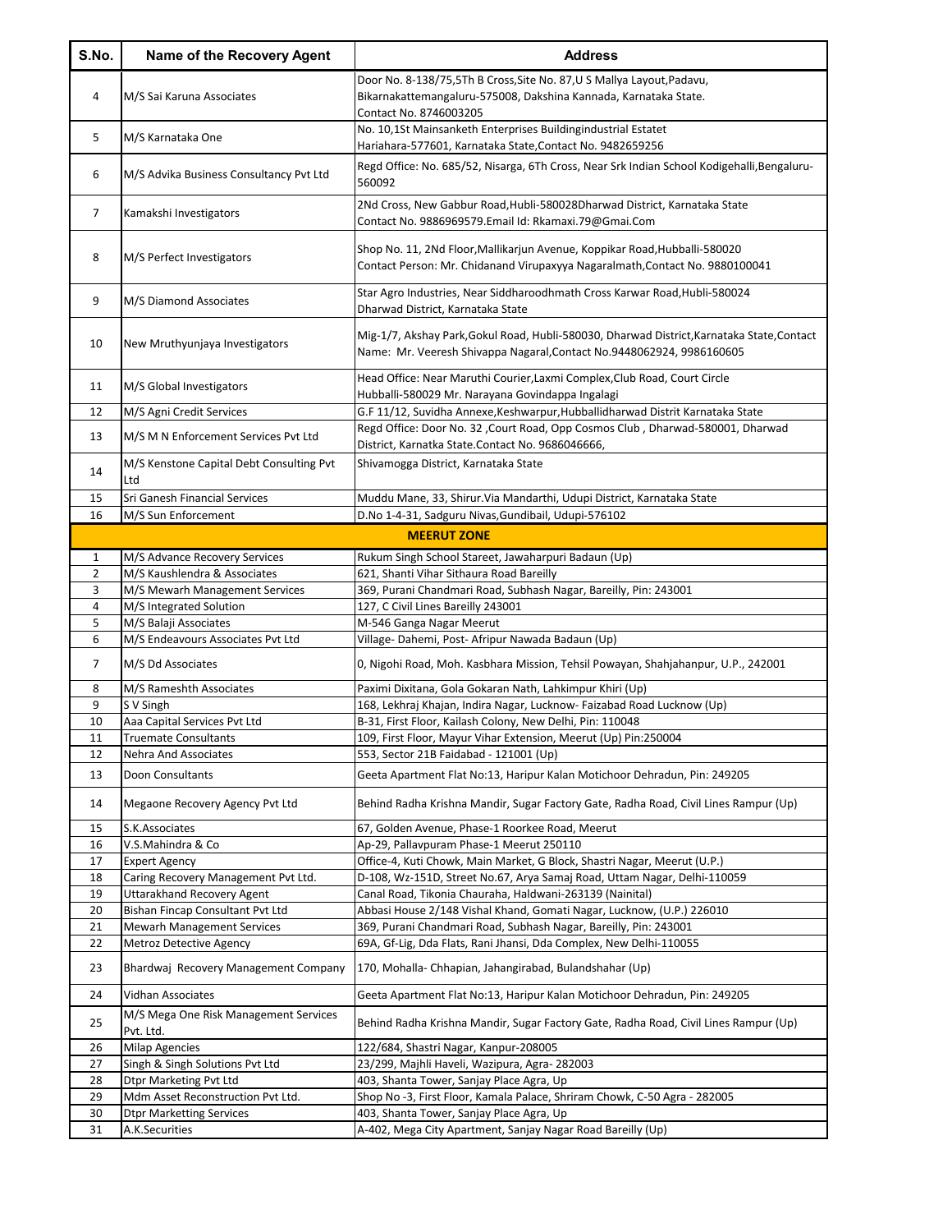| S.No.          | Name of the Recovery Agent                         | <b>Address</b>                                                                                                                                                       |
|----------------|----------------------------------------------------|----------------------------------------------------------------------------------------------------------------------------------------------------------------------|
| 4              | M/S Sai Karuna Associates                          | Door No. 8-138/75,5Th B Cross, Site No. 87, U S Mallya Layout, Padavu,<br>Bikarnakattemangaluru-575008, Dakshina Kannada, Karnataka State.<br>Contact No. 8746003205 |
| 5              | M/S Karnataka One                                  | No. 10,1St Mainsanketh Enterprises Buildingindustrial Estatet<br>Hariahara-577601, Karnataka State, Contact No. 9482659256                                           |
| 6              | M/S Advika Business Consultancy Pvt Ltd            | Regd Office: No. 685/52, Nisarga, 6Th Cross, Near Srk Indian School Kodigehalli, Bengaluru-<br>560092                                                                |
| 7              | Kamakshi Investigators                             | 2Nd Cross, New Gabbur Road, Hubli-580028Dharwad District, Karnataka State<br>Contact No. 9886969579.Email Id: Rkamaxi.79@Gmai.Com                                    |
| 8              | M/S Perfect Investigators                          | Shop No. 11, 2Nd Floor, Mallikarjun Avenue, Koppikar Road, Hubballi-580020<br>Contact Person: Mr. Chidanand Virupaxyya Nagaralmath, Contact No. 9880100041           |
| 9              | M/S Diamond Associates                             | Star Agro Industries, Near Siddharoodhmath Cross Karwar Road, Hubli-580024<br>Dharwad District, Karnataka State                                                      |
| 10             | New Mruthyunjaya Investigators                     | Mig-1/7, Akshay Park, Gokul Road, Hubli-580030, Dharwad District, Karnataka State, Contact<br>Name: Mr. Veeresh Shivappa Nagaral, Contact No.9448062924, 9986160605  |
| 11             | M/S Global Investigators                           | Head Office: Near Maruthi Courier, Laxmi Complex, Club Road, Court Circle<br>Hubballi-580029 Mr. Narayana Govindappa Ingalagi                                        |
| 12             | M/S Agni Credit Services                           | G.F 11/12, Suvidha Annexe, Keshwarpur, Hubballidharwad Distrit Karnataka State                                                                                       |
| 13             | M/S M N Enforcement Services Pvt Ltd               | Regd Office: Door No. 32, Court Road, Opp Cosmos Club, Dharwad-580001, Dharwad<br>District, Karnatka State.Contact No. 9686046666,                                   |
| 14             | M/S Kenstone Capital Debt Consulting Pvt<br>Ltd    | Shivamogga District, Karnataka State                                                                                                                                 |
| 15             | Sri Ganesh Financial Services                      | Muddu Mane, 33, Shirur. Via Mandarthi, Udupi District, Karnataka State                                                                                               |
| 16             | M/S Sun Enforcement                                | D.No 1-4-31, Sadguru Nivas, Gundibail, Udupi-576102                                                                                                                  |
|                |                                                    | <b>MEERUT ZONE</b>                                                                                                                                                   |
| 1              | M/S Advance Recovery Services                      | Rukum Singh School Stareet, Jawaharpuri Badaun (Up)                                                                                                                  |
| $\overline{2}$ | M/S Kaushlendra & Associates                       | 621, Shanti Vihar Sithaura Road Bareilly                                                                                                                             |
| 3              | M/S Mewarh Management Services                     | 369, Purani Chandmari Road, Subhash Nagar, Bareilly, Pin: 243001                                                                                                     |
| 4              | M/S Integrated Solution                            | 127, C Civil Lines Bareilly 243001                                                                                                                                   |
| 5              | M/S Balaji Associates                              | M-546 Ganga Nagar Meerut                                                                                                                                             |
| 6              | M/S Endeavours Associates Pvt Ltd                  | Village- Dahemi, Post- Afripur Nawada Badaun (Up)                                                                                                                    |
| 7              | M/S Dd Associates                                  | 0, Nigohi Road, Moh. Kasbhara Mission, Tehsil Powayan, Shahjahanpur, U.P., 242001                                                                                    |
| 8              | M/S Rameshth Associates                            | Paximi Dixitana, Gola Gokaran Nath, Lahkimpur Khiri (Up)                                                                                                             |
| 9              | S V Singh                                          | 168, Lekhraj Khajan, Indira Nagar, Lucknow- Faizabad Road Lucknow (Up)                                                                                               |
| 10             | Aaa Capital Services Pvt Ltd                       | B-31, First Floor, Kailash Colony, New Delhi, Pin: 110048                                                                                                            |
| 11             | <b>Truemate Consultants</b>                        | 109, First Floor, Mayur Vihar Extension, Meerut (Up) Pin:250004                                                                                                      |
| 12             | Nehra And Associates                               | 553, Sector 21B Faidabad - 121001 (Up)                                                                                                                               |
| 13             | Doon Consultants                                   | Geeta Apartment Flat No:13, Haripur Kalan Motichoor Dehradun, Pin: 249205                                                                                            |
| 14             | Megaone Recovery Agency Pvt Ltd                    | Behind Radha Krishna Mandir, Sugar Factory Gate, Radha Road, Civil Lines Rampur (Up)                                                                                 |
| 15             | S.K.Associates<br>V.S.Mahindra & Co                | 67, Golden Avenue, Phase-1 Roorkee Road, Meerut<br>Ap-29, Pallavpuram Phase-1 Meerut 250110                                                                          |
| 16<br>17       | <b>Expert Agency</b>                               | Office-4, Kuti Chowk, Main Market, G Block, Shastri Nagar, Meerut (U.P.)                                                                                             |
| 18             | Caring Recovery Management Pvt Ltd.                | D-108, Wz-151D, Street No.67, Arya Samaj Road, Uttam Nagar, Delhi-110059                                                                                             |
| 19             | Uttarakhand Recovery Agent                         | Canal Road, Tikonia Chauraha, Haldwani-263139 (Nainital)                                                                                                             |
| 20             | Bishan Fincap Consultant Pvt Ltd                   | Abbasi House 2/148 Vishal Khand, Gomati Nagar, Lucknow, (U.P.) 226010                                                                                                |
| 21             | <b>Mewarh Management Services</b>                  | 369, Purani Chandmari Road, Subhash Nagar, Bareilly, Pin: 243001                                                                                                     |
| 22             | Metroz Detective Agency                            | 69A, Gf-Lig, Dda Flats, Rani Jhansi, Dda Complex, New Delhi-110055                                                                                                   |
| 23             | Bhardwaj Recovery Management Company               | 170, Mohalla-Chhapian, Jahangirabad, Bulandshahar (Up)                                                                                                               |
| 24             | Vidhan Associates                                  | Geeta Apartment Flat No:13, Haripur Kalan Motichoor Dehradun, Pin: 249205                                                                                            |
| 25             | M/S Mega One Risk Management Services<br>Pvt. Ltd. | Behind Radha Krishna Mandir, Sugar Factory Gate, Radha Road, Civil Lines Rampur (Up)                                                                                 |
| 26             | <b>Milap Agencies</b>                              | 122/684, Shastri Nagar, Kanpur-208005                                                                                                                                |
| 27             | Singh & Singh Solutions Pvt Ltd                    | 23/299, Majhli Haveli, Wazipura, Agra-282003                                                                                                                         |
| 28             | <b>Dtpr Marketing Pvt Ltd</b>                      | 403, Shanta Tower, Sanjay Place Agra, Up                                                                                                                             |
| 29             | Mdm Asset Reconstruction Pvt Ltd.                  | Shop No -3, First Floor, Kamala Palace, Shriram Chowk, C-50 Agra - 282005                                                                                            |
| 30             | <b>Dtpr Marketting Services</b>                    | 403, Shanta Tower, Sanjay Place Agra, Up                                                                                                                             |
| 31             | A.K.Securities                                     | A-402, Mega City Apartment, Sanjay Nagar Road Bareilly (Up)                                                                                                          |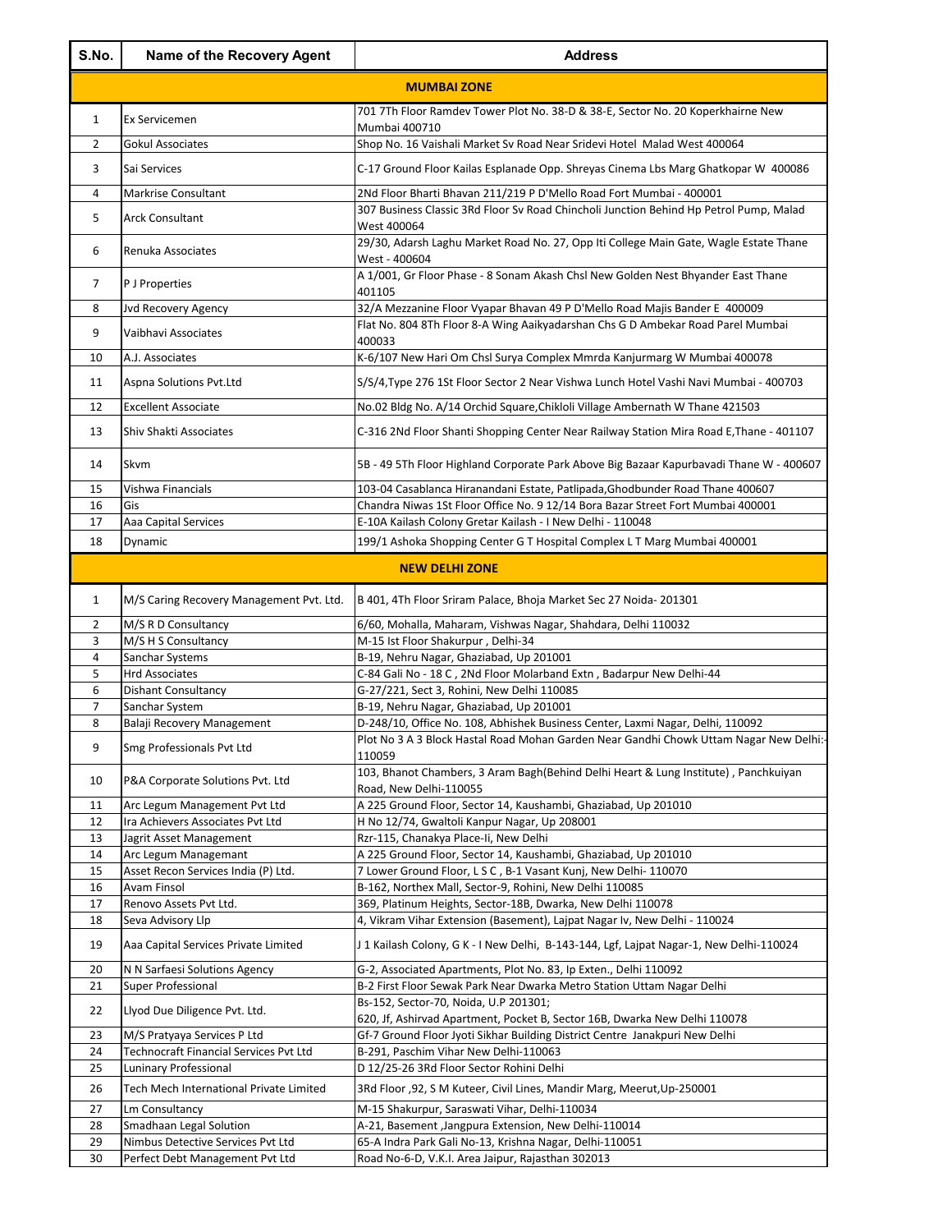| S.No.          | Name of the Recovery Agent                    | <b>Address</b>                                                                                                                                                |
|----------------|-----------------------------------------------|---------------------------------------------------------------------------------------------------------------------------------------------------------------|
|                |                                               | <b>MUMBAI ZONE</b>                                                                                                                                            |
| $\mathbf{1}$   | Ex Servicemen                                 | 701 7Th Floor Ramdev Tower Plot No. 38-D & 38-E, Sector No. 20 Koperkhairne New                                                                               |
| $\overline{2}$ | <b>Gokul Associates</b>                       | <b>Mumbai 400710</b><br>Shop No. 16 Vaishali Market Sv Road Near Sridevi Hotel Malad West 400064                                                              |
| 3              | Sai Services                                  | C-17 Ground Floor Kailas Esplanade Opp. Shreyas Cinema Lbs Marg Ghatkopar W 400086                                                                            |
|                |                                               |                                                                                                                                                               |
| 4              | Markrise Consultant                           | 2Nd Floor Bharti Bhavan 211/219 P D'Mello Road Fort Mumbai - 400001<br>307 Business Classic 3Rd Floor Sv Road Chincholi Junction Behind Hp Petrol Pump, Malad |
| 5              | <b>Arck Consultant</b>                        | West 400064                                                                                                                                                   |
| 6              | Renuka Associates                             | 29/30, Adarsh Laghu Market Road No. 27, Opp Iti College Main Gate, Wagle Estate Thane<br>West - 400604                                                        |
| 7              | P J Properties                                | A 1/001, Gr Floor Phase - 8 Sonam Akash Chsl New Golden Nest Bhyander East Thane<br>401105                                                                    |
| 8              | Jvd Recovery Agency                           | 32/A Mezzanine Floor Vyapar Bhavan 49 P D'Mello Road Majis Bander E 400009                                                                                    |
| 9              | Vaibhavi Associates                           | Flat No. 804 8Th Floor 8-A Wing Aaikyadarshan Chs G D Ambekar Road Parel Mumbai                                                                               |
| 10             | A.J. Associates                               | 400033<br>K-6/107 New Hari Om Chsl Surya Complex Mmrda Kanjurmarg W Mumbai 400078                                                                             |
|                |                                               |                                                                                                                                                               |
| 11             | Aspna Solutions Pvt.Ltd                       | S/S/4, Type 276 1St Floor Sector 2 Near Vishwa Lunch Hotel Vashi Navi Mumbai - 400703                                                                         |
| 12             | <b>Excellent Associate</b>                    | No.02 Bldg No. A/14 Orchid Square, Chikloli Village Ambernath W Thane 421503                                                                                  |
| 13             | Shiv Shakti Associates                        | C-316 2Nd Floor Shanti Shopping Center Near Railway Station Mira Road E, Thane - 401107                                                                       |
| 14             | Skvm                                          | 5B - 49 5Th Floor Highland Corporate Park Above Big Bazaar Kapurbavadi Thane W - 400607                                                                       |
| 15             | Vishwa Financials                             | 103-04 Casablanca Hiranandani Estate, Patlipada, Ghodbunder Road Thane 400607                                                                                 |
| 16             | Gis                                           | Chandra Niwas 1St Floor Office No. 9 12/14 Bora Bazar Street Fort Mumbai 400001                                                                               |
| 17             | Aaa Capital Services                          | E-10A Kailash Colony Gretar Kailash - I New Delhi - 110048                                                                                                    |
| 18             | Dynamic                                       | 199/1 Ashoka Shopping Center G T Hospital Complex L T Marg Mumbai 400001                                                                                      |
|                |                                               | <b>NEW DELHI ZONE</b>                                                                                                                                         |
| $\mathbf{1}$   | M/S Caring Recovery Management Pvt. Ltd.      | B 401, 4Th Floor Sriram Palace, Bhoja Market Sec 27 Noida-201301                                                                                              |
| $\overline{2}$ | M/S R D Consultancy                           | 6/60, Mohalla, Maharam, Vishwas Nagar, Shahdara, Delhi 110032                                                                                                 |
| 3<br>4         | M/S H S Consultancy<br>Sanchar Systems        | M-15 Ist Floor Shakurpur, Delhi-34<br>B-19, Nehru Nagar, Ghaziabad, Up 201001                                                                                 |
| 5              | <b>Hrd Associates</b>                         | C-84 Gali No - 18 C, 2Nd Floor Molarband Extn, Badarpur New Delhi-44                                                                                          |
| 6              | Dishant Consultancy                           | G-27/221, Sect 3, Rohini, New Delhi 110085                                                                                                                    |
| 7              | Sanchar System                                | B-19, Nehru Nagar, Ghaziabad, Up 201001                                                                                                                       |
| 8              | Balaji Recovery Management                    | D-248/10, Office No. 108, Abhishek Business Center, Laxmi Nagar, Delhi, 110092                                                                                |
| 9              | Smg Professionals Pvt Ltd                     | Plot No 3 A 3 Block Hastal Road Mohan Garden Near Gandhi Chowk Uttam Nagar New Delhi:-<br>110059                                                              |
| 10             | P&A Corporate Solutions Pvt. Ltd              | 103, Bhanot Chambers, 3 Aram Bagh(Behind Delhi Heart & Lung Institute), Panchkuiyan<br>Road, New Delhi-110055                                                 |
| 11             | Arc Legum Management Pvt Ltd                  | A 225 Ground Floor, Sector 14, Kaushambi, Ghaziabad, Up 201010                                                                                                |
| 12             | Ira Achievers Associates Pvt Ltd              | H No 12/74, Gwaltoli Kanpur Nagar, Up 208001                                                                                                                  |
| 13             | Jagrit Asset Management                       | Rzr-115, Chanakya Place-Ii, New Delhi                                                                                                                         |
| 14             | Arc Legum Managemant                          | A 225 Ground Floor, Sector 14, Kaushambi, Ghaziabad, Up 201010                                                                                                |
| 15             | Asset Recon Services India (P) Ltd.           | 7 Lower Ground Floor, L S C, B-1 Vasant Kunj, New Delhi-110070                                                                                                |
| 16<br>17       | Avam Finsol                                   | B-162, Northex Mall, Sector-9, Rohini, New Delhi 110085                                                                                                       |
| 18             | Renovo Assets Pvt Ltd.<br>Seva Advisory Llp   | 369, Platinum Heights, Sector-18B, Dwarka, New Delhi 110078<br>4, Vikram Vihar Extension (Basement), Lajpat Nagar Iv, New Delhi - 110024                      |
| 19             | Aaa Capital Services Private Limited          | J 1 Kailash Colony, G K - I New Delhi, B-143-144, Lgf, Lajpat Nagar-1, New Delhi-110024                                                                       |
| 20             | N N Sarfaesi Solutions Agency                 | G-2, Associated Apartments, Plot No. 83, Ip Exten., Delhi 110092                                                                                              |
| 21             | Super Professional                            | B-2 First Floor Sewak Park Near Dwarka Metro Station Uttam Nagar Delhi                                                                                        |
| 22             | Llyod Due Diligence Pvt. Ltd.                 | Bs-152, Sector-70, Noida, U.P 201301;<br>620, Jf, Ashirvad Apartment, Pocket B, Sector 16B, Dwarka New Delhi 110078                                           |
| 23             | M/S Pratyaya Services P Ltd                   | Gf-7 Ground Floor Jyoti Sikhar Building District Centre Janakpuri New Delhi                                                                                   |
| 24             | <b>Technocraft Financial Services Pvt Ltd</b> | B-291, Paschim Vihar New Delhi-110063                                                                                                                         |
| 25             | Luninary Professional                         | D 12/25-26 3Rd Floor Sector Rohini Delhi                                                                                                                      |
| 26             | Tech Mech International Private Limited       | 3Rd Floor , 92, S M Kuteer, Civil Lines, Mandir Marg, Meerut, Up-250001                                                                                       |
| 27             | Lm Consultancy                                | M-15 Shakurpur, Saraswati Vihar, Delhi-110034                                                                                                                 |
| 28             | Smadhaan Legal Solution                       | A-21, Basement , Jangpura Extension, New Delhi-110014                                                                                                         |
| 29             | Nimbus Detective Services Pvt Ltd             | 65-A Indra Park Gali No-13, Krishna Nagar, Delhi-110051                                                                                                       |
| 30             | Perfect Debt Management Pvt Ltd               | Road No-6-D, V.K.I. Area Jaipur, Rajasthan 302013                                                                                                             |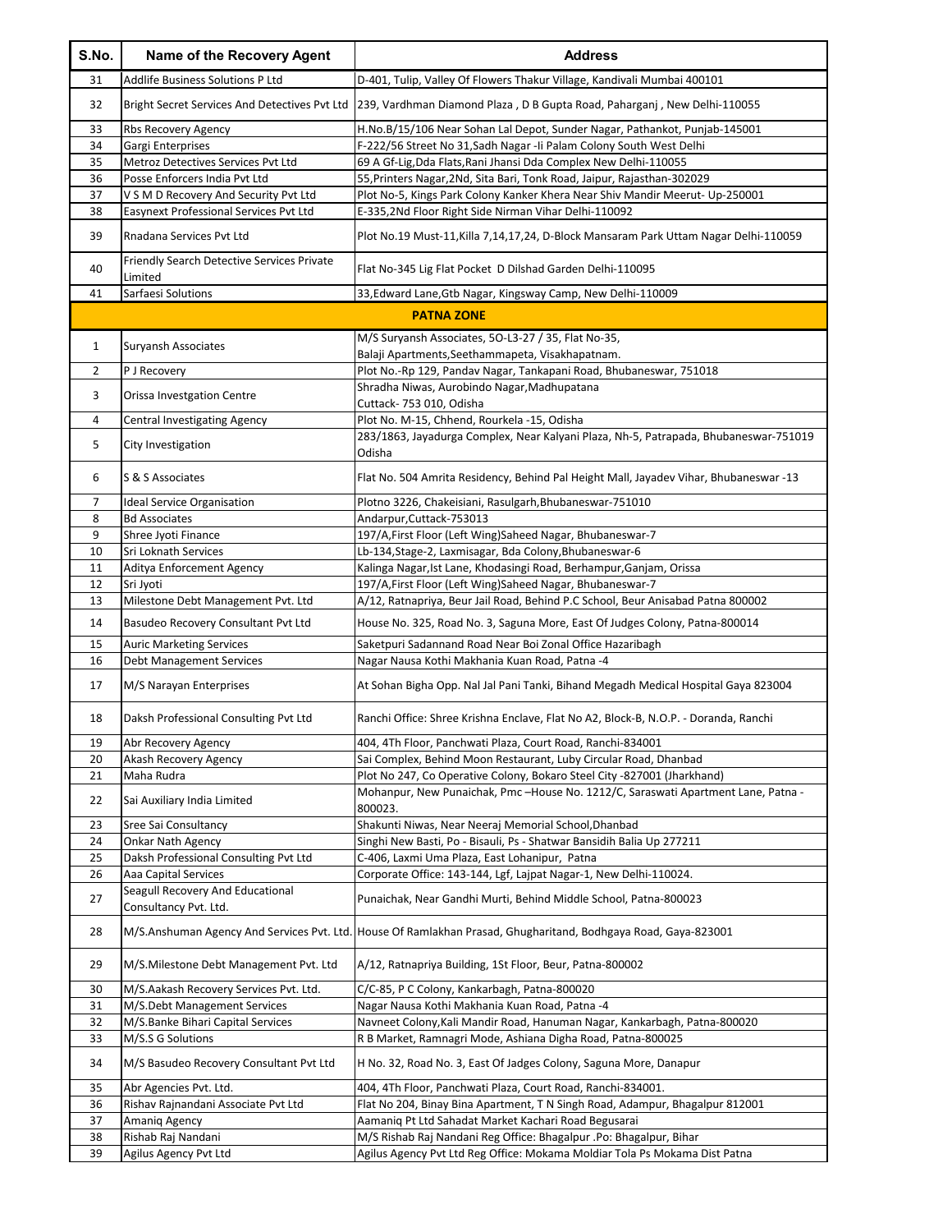| S.No.          | Name of the Recovery Agent                                             | <b>Address</b>                                                                                                                              |
|----------------|------------------------------------------------------------------------|---------------------------------------------------------------------------------------------------------------------------------------------|
| 31             | Addlife Business Solutions P Ltd                                       | D-401, Tulip, Valley Of Flowers Thakur Village, Kandivali Mumbai 400101                                                                     |
| 32             | Bright Secret Services And Detectives Pvt Ltd                          | 239, Vardhman Diamond Plaza, D B Gupta Road, Paharganj, New Delhi-110055                                                                    |
| 33             | Rbs Recovery Agency                                                    | H.No.B/15/106 Near Sohan Lal Depot, Sunder Nagar, Pathankot, Punjab-145001                                                                  |
| 34             | Gargi Enterprises                                                      | F-222/56 Street No 31, Sadh Nagar - Ii Palam Colony South West Delhi                                                                        |
| 35             | Metroz Detectives Services Pvt Ltd                                     | 69 A Gf-Lig, Dda Flats, Rani Jhansi Dda Complex New Delhi-110055                                                                            |
| 36             | Posse Enforcers India Pvt Ltd                                          | 55, Printers Nagar, 2Nd, Sita Bari, Tonk Road, Jaipur, Rajasthan-302029                                                                     |
| 37             | V S M D Recovery And Security Pvt Ltd                                  | Plot No-5, Kings Park Colony Kanker Khera Near Shiv Mandir Meerut- Up-250001                                                                |
| 38             | Easynext Professional Services Pvt Ltd                                 | E-335,2Nd Floor Right Side Nirman Vihar Delhi-110092                                                                                        |
| 39             | Rnadana Services Pvt Ltd                                               | Plot No.19 Must-11, Killa 7, 14, 17, 24, D-Block Mansaram Park Uttam Nagar Delhi-110059                                                     |
| 40             | Friendly Search Detective Services Private<br>Limited                  | Flat No-345 Lig Flat Pocket D Dilshad Garden Delhi-110095                                                                                   |
| 41             | Sarfaesi Solutions                                                     | 33, Edward Lane, Gtb Nagar, Kingsway Camp, New Delhi-110009                                                                                 |
|                |                                                                        | <b>PATNA ZONE</b>                                                                                                                           |
|                |                                                                        |                                                                                                                                             |
| $\mathbf{1}$   | Suryansh Associates                                                    | M/S Suryansh Associates, 5O-L3-27 / 35, Flat No-35,                                                                                         |
| $\overline{2}$ |                                                                        | Balaji Apartments, Seethammapeta, Visakhapatnam.                                                                                            |
|                | P J Recovery                                                           | Plot No.-Rp 129, Pandav Nagar, Tankapani Road, Bhubaneswar, 751018<br>Shradha Niwas, Aurobindo Nagar, Madhupatana                           |
| 3              | Orissa Investgation Centre                                             | Cuttack- 753 010, Odisha                                                                                                                    |
| 4              | <b>Central Investigating Agency</b>                                    | Plot No. M-15, Chhend, Rourkela -15, Odisha                                                                                                 |
|                |                                                                        | 283/1863, Jayadurga Complex, Near Kalyani Plaza, Nh-5, Patrapada, Bhubaneswar-751019                                                        |
| 5              | City Investigation                                                     | Odisha                                                                                                                                      |
| 6              | S & S Associates                                                       | Flat No. 504 Amrita Residency, Behind Pal Height Mall, Jayadev Vihar, Bhubaneswar -13                                                       |
| 7              | <b>Ideal Service Organisation</b>                                      | Plotno 3226, Chakeisiani, Rasulgarh, Bhubaneswar-751010                                                                                     |
| 8              | <b>Bd Associates</b>                                                   | Andarpur, Cuttack-753013                                                                                                                    |
| 9              | Shree Jyoti Finance                                                    | 197/A, First Floor (Left Wing) Saheed Nagar, Bhubaneswar-7                                                                                  |
| 10             | Sri Loknath Services                                                   | Lb-134, Stage-2, Laxmisagar, Bda Colony, Bhubaneswar-6                                                                                      |
| 11             | Aditya Enforcement Agency                                              | Kalinga Nagar, Ist Lane, Khodasingi Road, Berhampur, Ganjam, Orissa                                                                         |
| 12             | Sri Jyoti                                                              | 197/A, First Floor (Left Wing) Saheed Nagar, Bhubaneswar-7                                                                                  |
| 13             | Milestone Debt Management Pvt. Ltd                                     | A/12, Ratnapriya, Beur Jail Road, Behind P.C School, Beur Anisabad Patna 800002                                                             |
| 14             | Basudeo Recovery Consultant Pvt Ltd                                    | House No. 325, Road No. 3, Saguna More, East Of Judges Colony, Patna-800014                                                                 |
| 15             | <b>Auric Marketing Services</b>                                        | Saketpuri Sadannand Road Near Boi Zonal Office Hazaribagh<br>Nagar Nausa Kothi Makhania Kuan Road, Patna -4                                 |
| 16<br>17       | <b>Debt Management Services</b><br>M/S Narayan Enterprises             | At Sohan Bigha Opp. Nal Jal Pani Tanki, Bihand Megadh Medical Hospital Gaya 823004                                                          |
| 18             | Daksh Professional Consulting Pvt Ltd                                  | Ranchi Office: Shree Krishna Enclave, Flat No A2, Block-B, N.O.P. - Doranda, Ranchi                                                         |
|                |                                                                        |                                                                                                                                             |
| 19             | Abr Recovery Agency                                                    | 404, 4Th Floor, Panchwati Plaza, Court Road, Ranchi-834001                                                                                  |
| 20             | Akash Recovery Agency                                                  | Sai Complex, Behind Moon Restaurant, Luby Circular Road, Dhanbad                                                                            |
| 21             | Maha Rudra                                                             | Plot No 247, Co Operative Colony, Bokaro Steel City -827001 (Jharkhand)                                                                     |
| 22             | Sai Auxiliary India Limited                                            | Mohanpur, New Punaichak, Pmc-House No. 1212/C, Saraswati Apartment Lane, Patna -<br>800023.                                                 |
| 23             | Sree Sai Consultancy                                                   | Shakunti Niwas, Near Neeraj Memorial School, Dhanbad                                                                                        |
| 24             | <b>Onkar Nath Agency</b>                                               | Singhi New Basti, Po - Bisauli, Ps - Shatwar Bansidih Balia Up 277211                                                                       |
| 25             | Daksh Professional Consulting Pvt Ltd                                  | C-406, Laxmi Uma Plaza, East Lohanipur, Patna                                                                                               |
| 26<br>27       | Aaa Capital Services<br>Seagull Recovery And Educational               | Corporate Office: 143-144, Lgf, Lajpat Nagar-1, New Delhi-110024.<br>Punaichak, Near Gandhi Murti, Behind Middle School, Patna-800023       |
|                | Consultancy Pvt. Ltd.                                                  |                                                                                                                                             |
| 28             |                                                                        | M/S.Anshuman Agency And Services Pvt. Ltd. House Of Ramlakhan Prasad, Ghugharitand, Bodhgaya Road, Gaya-823001                              |
| 29<br>30       | M/S. Milestone Debt Management Pvt. Ltd                                | A/12, Ratnapriya Building, 1St Floor, Beur, Patna-800002                                                                                    |
| 31             | M/S.Aakash Recovery Services Pvt. Ltd.<br>M/S.Debt Management Services | C/C-85, P C Colony, Kankarbagh, Patna-800020<br>Nagar Nausa Kothi Makhania Kuan Road, Patna -4                                              |
| 32             | M/S.Banke Bihari Capital Services                                      | Navneet Colony, Kali Mandir Road, Hanuman Nagar, Kankarbagh, Patna-800020                                                                   |
| 33             | M/S.S G Solutions                                                      | R B Market, Ramnagri Mode, Ashiana Digha Road, Patna-800025                                                                                 |
| 34             | M/S Basudeo Recovery Consultant Pvt Ltd                                | H No. 32, Road No. 3, East Of Jadges Colony, Saguna More, Danapur                                                                           |
|                |                                                                        |                                                                                                                                             |
| 35<br>36       | Abr Agencies Pvt. Ltd.<br>Rishav Rajnandani Associate Pvt Ltd          | 404, 4Th Floor, Panchwati Plaza, Court Road, Ranchi-834001.<br>Flat No 204, Binay Bina Apartment, T N Singh Road, Adampur, Bhagalpur 812001 |
| 37             | Amaniq Agency                                                          | Aamaniq Pt Ltd Sahadat Market Kachari Road Begusarai                                                                                        |
| 38             | Rishab Raj Nandani                                                     | M/S Rishab Raj Nandani Reg Office: Bhagalpur .Po: Bhagalpur, Bihar                                                                          |
| 39             | Agilus Agency Pvt Ltd                                                  | Agilus Agency Pvt Ltd Reg Office: Mokama Moldiar Tola Ps Mokama Dist Patna                                                                  |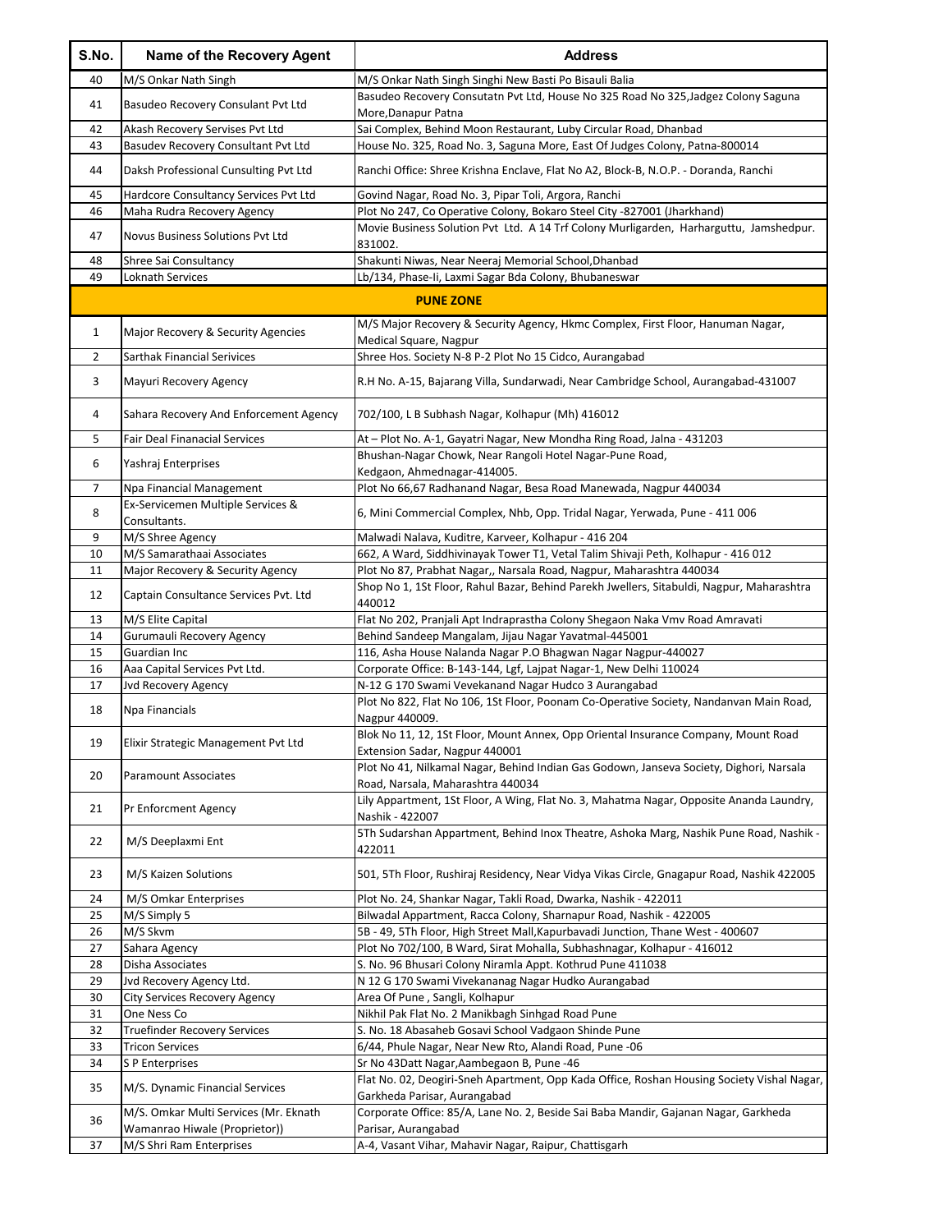| S.No.        | Name of the Recovery Agent                                             | <b>Address</b>                                                                                                                                                    |
|--------------|------------------------------------------------------------------------|-------------------------------------------------------------------------------------------------------------------------------------------------------------------|
| 40           | M/S Onkar Nath Singh                                                   | M/S Onkar Nath Singh Singhi New Basti Po Bisauli Balia                                                                                                            |
| 41           | Basudeo Recovery Consulant Pvt Ltd                                     | Basudeo Recovery Consutatn Pvt Ltd, House No 325 Road No 325, Jadgez Colony Saguna<br>More, Danapur Patna                                                         |
| 42           | Akash Recovery Servises Pvt Ltd                                        | Sai Complex, Behind Moon Restaurant, Luby Circular Road, Dhanbad                                                                                                  |
| 43           | Basudev Recovery Consultant Pvt Ltd                                    | House No. 325, Road No. 3, Saguna More, East Of Judges Colony, Patna-800014                                                                                       |
| 44           | Daksh Professional Cunsulting Pvt Ltd                                  | Ranchi Office: Shree Krishna Enclave, Flat No A2, Block-B, N.O.P. - Doranda, Ranchi                                                                               |
| 45           | Hardcore Consultancy Services Pvt Ltd                                  | Govind Nagar, Road No. 3, Pipar Toli, Argora, Ranchi                                                                                                              |
| 46           | Maha Rudra Recovery Agency                                             | Plot No 247, Co Operative Colony, Bokaro Steel City -827001 (Jharkhand)<br>Movie Business Solution Pvt Ltd. A 14 Trf Colony Murligarden, Harharguttu, Jamshedpur. |
| 47           | Novus Business Solutions Pvt Ltd                                       | 831002.                                                                                                                                                           |
| 48           | Shree Sai Consultancy                                                  | Shakunti Niwas, Near Neeraj Memorial School, Dhanbad                                                                                                              |
| 49           | Loknath Services                                                       | Lb/134, Phase-Ii, Laxmi Sagar Bda Colony, Bhubaneswar                                                                                                             |
|              |                                                                        | <b>PUNE ZONE</b>                                                                                                                                                  |
| $\mathbf{1}$ | Major Recovery & Security Agencies                                     | M/S Major Recovery & Security Agency, Hkmc Complex, First Floor, Hanuman Nagar,<br>Medical Square, Nagpur                                                         |
| 2            | <b>Sarthak Financial Serivices</b>                                     | Shree Hos. Society N-8 P-2 Plot No 15 Cidco, Aurangabad                                                                                                           |
| 3            | Mayuri Recovery Agency                                                 | R.H No. A-15, Bajarang Villa, Sundarwadi, Near Cambridge School, Aurangabad-431007                                                                                |
| 4            | Sahara Recovery And Enforcement Agency                                 | 702/100, L B Subhash Nagar, Kolhapur (Mh) 416012                                                                                                                  |
| 5            | <b>Fair Deal Finanacial Services</b>                                   | At - Plot No. A-1, Gayatri Nagar, New Mondha Ring Road, Jalna - 431203                                                                                            |
| 6            | Yashraj Enterprises                                                    | Bhushan-Nagar Chowk, Near Rangoli Hotel Nagar-Pune Road,                                                                                                          |
| 7            | Npa Financial Management                                               | Kedgaon, Ahmednagar-414005.<br>Plot No 66,67 Radhanand Nagar, Besa Road Manewada, Nagpur 440034                                                                   |
|              | Ex-Servicemen Multiple Services &                                      |                                                                                                                                                                   |
| 8            | Consultants.                                                           | 6, Mini Commercial Complex, Nhb, Opp. Tridal Nagar, Yerwada, Pune - 411 006                                                                                       |
| 9            | M/S Shree Agency                                                       | Malwadi Nalava, Kuditre, Karveer, Kolhapur - 416 204                                                                                                              |
| 10           | M/S Samarathaai Associates<br>Major Recovery & Security Agency         | 662, A Ward, Siddhivinayak Tower T1, Vetal Talim Shivaji Peth, Kolhapur - 416 012                                                                                 |
| 11           |                                                                        | Plot No 87, Prabhat Nagar,, Narsala Road, Nagpur, Maharashtra 440034<br>Shop No 1, 1St Floor, Rahul Bazar, Behind Parekh Jwellers, Sitabuldi, Nagpur, Maharashtra |
| 12           | Captain Consultance Services Pvt. Ltd                                  | 440012                                                                                                                                                            |
| 13           | M/S Elite Capital                                                      | Flat No 202, Pranjali Apt Indraprastha Colony Shegaon Naka Vmv Road Amravati                                                                                      |
| 14           | Gurumauli Recovery Agency                                              | Behind Sandeep Mangalam, Jijau Nagar Yavatmal-445001                                                                                                              |
| 15           | Guardian Inc<br>Aaa Capital Services Pvt Ltd.                          | 116, Asha House Nalanda Nagar P.O Bhagwan Nagar Nagpur-440027                                                                                                     |
| 16<br>17     | Jvd Recovery Agency                                                    | Corporate Office: B-143-144, Lgf, Lajpat Nagar-1, New Delhi 110024<br>N-12 G 170 Swami Vevekanand Nagar Hudco 3 Aurangabad                                        |
| 18           | Npa Financials                                                         | Plot No 822, Flat No 106, 1St Floor, Poonam Co-Operative Society, Nandanvan Main Road,<br>Nagpur 440009.                                                          |
| 19           | Elixir Strategic Management Pvt Ltd                                    | Blok No 11, 12, 1St Floor, Mount Annex, Opp Oriental Insurance Company, Mount Road                                                                                |
| 20           | <b>Paramount Associates</b>                                            | Extension Sadar, Nagpur 440001<br>Plot No 41, Nilkamal Nagar, Behind Indian Gas Godown, Janseva Society, Dighori, Narsala                                         |
| 21           | Pr Enforcment Agency                                                   | Road, Narsala, Maharashtra 440034<br>Lily Appartment, 1St Floor, A Wing, Flat No. 3, Mahatma Nagar, Opposite Ananda Laundry,                                      |
|              |                                                                        | Nashik - 422007<br>5Th Sudarshan Appartment, Behind Inox Theatre, Ashoka Marg, Nashik Pune Road, Nashik -                                                         |
| 22           | M/S Deeplaxmi Ent                                                      | 422011                                                                                                                                                            |
| 23           | M/S Kaizen Solutions                                                   | 501, 5Th Floor, Rushiraj Residency, Near Vidya Vikas Circle, Gnagapur Road, Nashik 422005                                                                         |
| 24           | M/S Omkar Enterprises                                                  | Plot No. 24, Shankar Nagar, Takli Road, Dwarka, Nashik - 422011                                                                                                   |
| 25           | M/S Simply 5                                                           | Bilwadal Appartment, Racca Colony, Sharnapur Road, Nashik - 422005                                                                                                |
| 26<br>27     | M/S Skvm<br>Sahara Agency                                              | 5B - 49, 5Th Floor, High Street Mall, Kapurbavadi Junction, Thane West - 400607<br>Plot No 702/100, B Ward, Sirat Mohalla, Subhashnagar, Kolhapur - 416012        |
| 28           | Disha Associates                                                       | S. No. 96 Bhusari Colony Niramla Appt. Kothrud Pune 411038                                                                                                        |
| 29           | Jvd Recovery Agency Ltd.                                               | N 12 G 170 Swami Vivekananag Nagar Hudko Aurangabad                                                                                                               |
| 30           | <b>City Services Recovery Agency</b>                                   | Area Of Pune, Sangli, Kolhapur                                                                                                                                    |
| 31           | One Ness Co                                                            | Nikhil Pak Flat No. 2 Manikbagh Sinhgad Road Pune                                                                                                                 |
| 32           | <b>Truefinder Recovery Services</b>                                    | S. No. 18 Abasaheb Gosavi School Vadgaon Shinde Pune                                                                                                              |
| 33           | <b>Tricon Services</b>                                                 | 6/44, Phule Nagar, Near New Rto, Alandi Road, Pune -06                                                                                                            |
| 34           | S P Enterprises                                                        | Sr No 43Datt Nagar, Aambegaon B, Pune -46                                                                                                                         |
| 35           | M/S. Dynamic Financial Services                                        | Flat No. 02, Deogiri-Sneh Apartment, Opp Kada Office, Roshan Housing Society Vishal Nagar,<br>Garkheda Parisar, Aurangabad                                        |
| 36           | M/S. Omkar Multi Services (Mr. Eknath<br>Wamanrao Hiwale (Proprietor)) | Corporate Office: 85/A, Lane No. 2, Beside Sai Baba Mandir, Gajanan Nagar, Garkheda<br>Parisar, Aurangabad                                                        |
| 37           | M/S Shri Ram Enterprises                                               | A-4, Vasant Vihar, Mahavir Nagar, Raipur, Chattisgarh                                                                                                             |